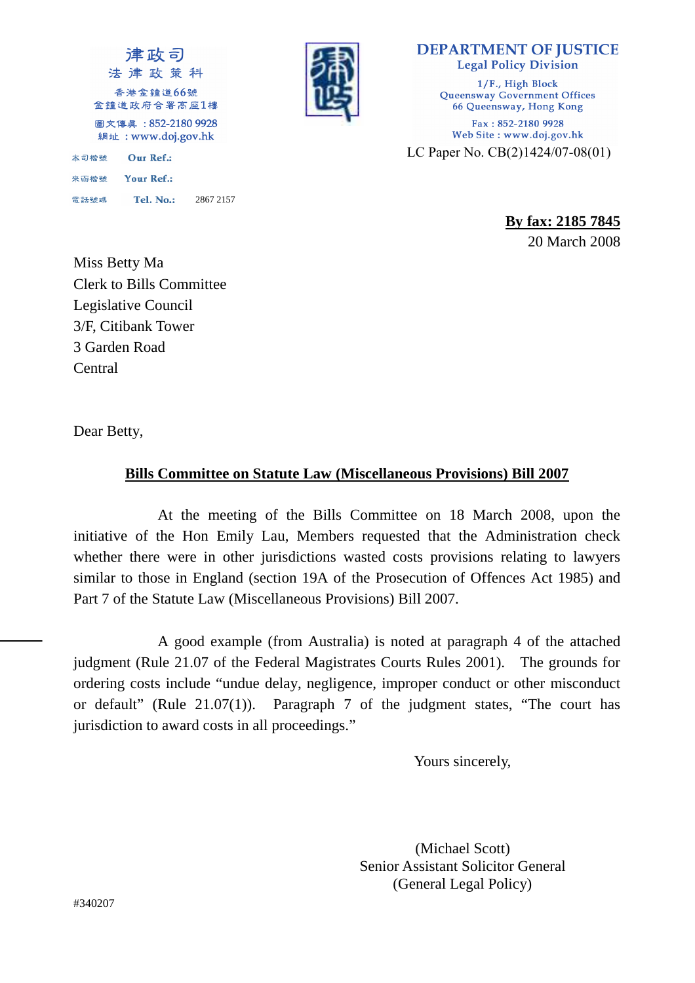



**DEPARTMENT OF JUSTICE Legal Policy Division** 1/F., High Block Queensway Government Offices 66 Queensway, Hong Kong Fax: 852-2180 9928 Web Site: www.doj.gov.hk LC Paper No. CB(2)1424/07-08(01)

> **By fax: 2185 7845** 20 March 2008

Miss Betty Ma Clerk to Bills Committee Legislative Council 3/F, Citibank Tower 3 Garden Road Central

Dear Betty,

## **Bills Committee on Statute Law (Miscellaneous Provisions) Bill 2007**

 At the meeting of the Bills Committee on 18 March 2008, upon the initiative of the Hon Emily Lau, Members requested that the Administration check whether there were in other jurisdictions wasted costs provisions relating to lawyers similar to those in England (section 19A of the Prosecution of Offences Act 1985) and Part 7 of the Statute Law (Miscellaneous Provisions) Bill 2007.

 A good example (from Australia) is noted at paragraph 4 of the attached judgment (Rule 21.07 of the Federal Magistrates Courts Rules 2001). The grounds for ordering costs include "undue delay, negligence, improper conduct or other misconduct or default" (Rule 21.07(1)). Paragraph 7 of the judgment states, "The court has jurisdiction to award costs in all proceedings."

Yours sincerely,

(Michael Scott) Senior Assistant Solicitor General (General Legal Policy)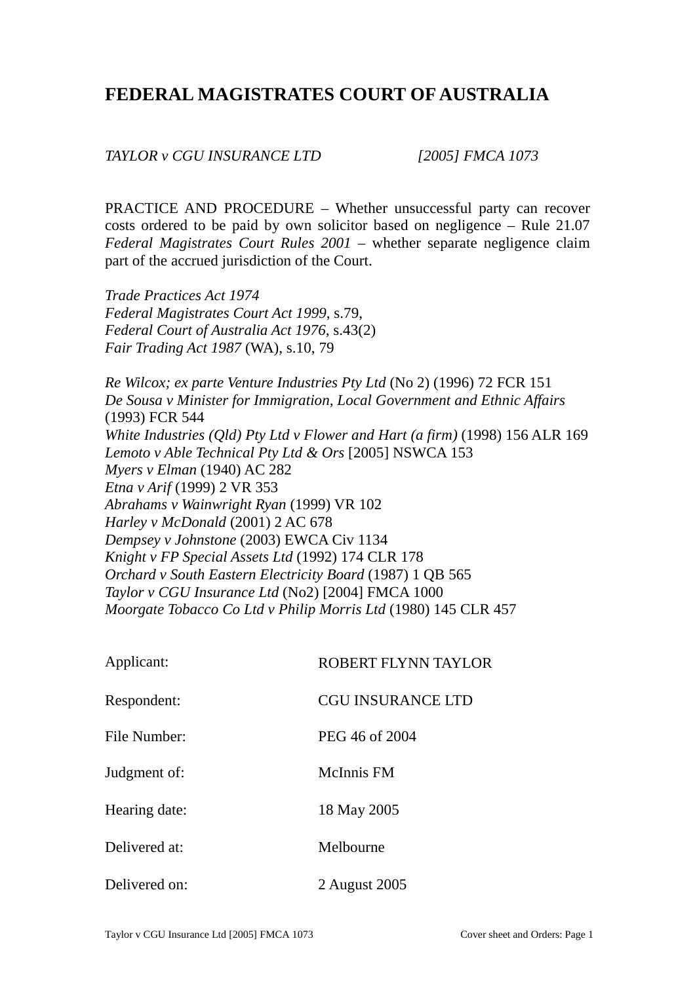# **FEDERAL MAGISTRATES COURT OF AUSTRALIA**

*TAYLOR v CGU INSURANCE LTD [2005] FMCA 1073* 

PRACTICE AND PROCEDURE – Whether unsuccessful party can recover costs ordered to be paid by own solicitor based on negligence – Rule 21.07 *Federal Magistrates Court Rules 2001* – whether separate negligence claim part of the accrued jurisdiction of the Court.

*Trade Practices Act 1974 Federal Magistrates Court Act 1999*, s.79, *Federal Court of Australia Act 1976*, s.43(2) *Fair Trading Act 1987* (WA), s.10, 79

*Re Wilcox; ex parte Venture Industries Pty Ltd* (No 2) (1996) 72 FCR 151 *De Sousa v Minister for Immigration, Local Government and Ethnic Affairs* (1993) FCR 544 *White Industries (Qld) Pty Ltd v Flower and Hart (a firm)* (1998) 156 ALR 169 *Lemoto v Able Technical Pty Ltd & Ors* [2005] NSWCA 153 *Myers v Elman* (1940) AC 282 *Etna v Arif* (1999) 2 VR 353 *Abrahams v Wainwright Ryan* (1999) VR 102 *Harley v McDonald* (2001) 2 AC 678 *Dempsey v Johnstone* (2003) EWCA Civ 1134 *Knight v FP Special Assets Ltd* (1992) 174 CLR 178 *Orchard v South Eastern Electricity Board* (1987) 1 QB 565 *Taylor v CGU Insurance Ltd* (No2) [2004] FMCA 1000 *Moorgate Tobacco Co Ltd v Philip Morris Ltd* (1980) 145 CLR 457

| Applicant:    | ROBERT FLYNN TAYLOR      |
|---------------|--------------------------|
| Respondent:   | <b>CGU INSURANCE LTD</b> |
| File Number:  | PEG 46 of 2004           |
| Judgment of:  | McInnis FM               |
| Hearing date: | 18 May 2005              |
| Delivered at: | Melbourne                |
| Delivered on: | 2 August 2005            |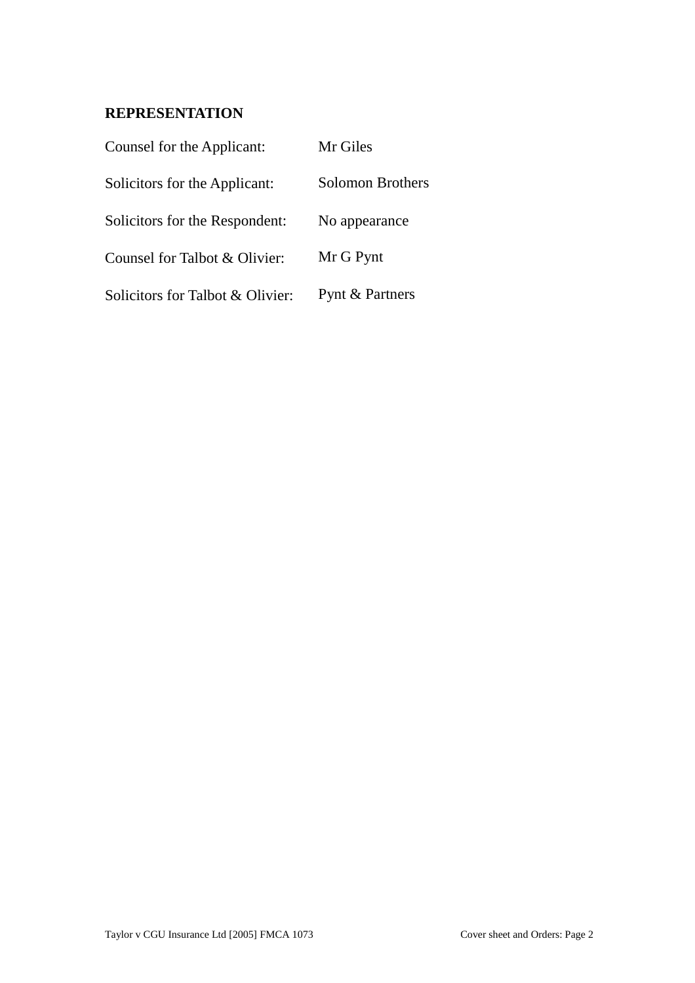## **REPRESENTATION**

| Counsel for the Applicant:       | Mr Giles                |
|----------------------------------|-------------------------|
| Solicitors for the Applicant:    | <b>Solomon Brothers</b> |
| Solicitors for the Respondent:   | No appearance           |
| Counsel for Talbot & Olivier:    | Mr G Pynt               |
| Solicitors for Talbot & Olivier: | Pynt & Partners         |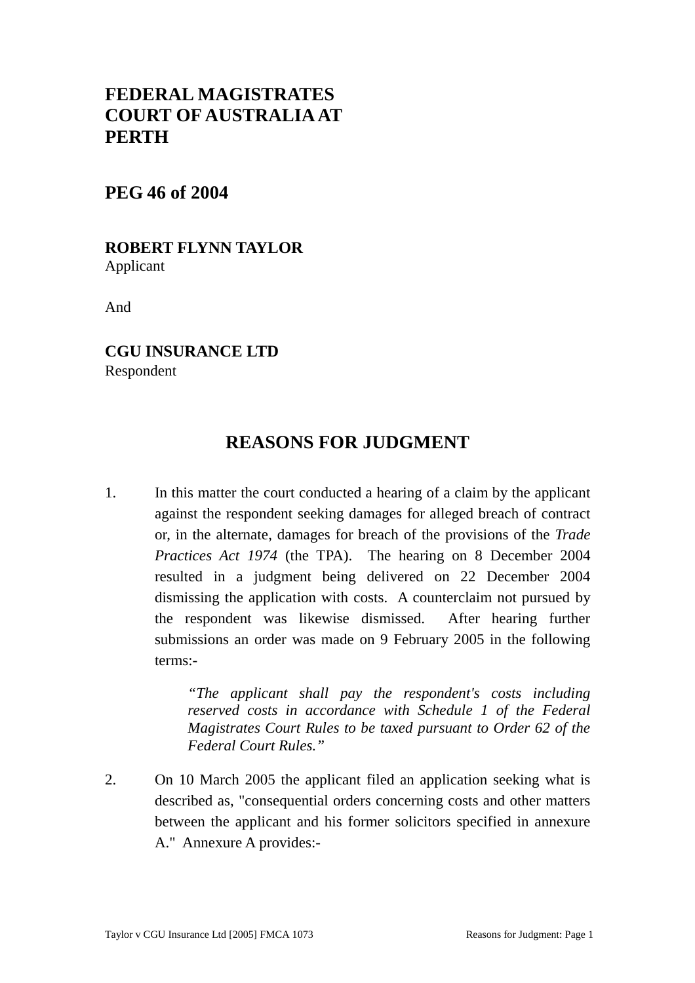# **FEDERAL MAGISTRATES COURT OF AUSTRALIA AT PERTH**

## **PEG 46 of 2004**

#### **ROBERT FLYNN TAYLOR**  Applicant

And

**CGU INSURANCE LTD**  Respondent

## **REASONS FOR JUDGMENT**

1. In this matter the court conducted a hearing of a claim by the applicant against the respondent seeking damages for alleged breach of contract or, in the alternate, damages for breach of the provisions of the *Trade Practices Act 1974* (the TPA). The hearing on 8 December 2004 resulted in a judgment being delivered on 22 December 2004 dismissing the application with costs. A counterclaim not pursued by the respondent was likewise dismissed. After hearing further submissions an order was made on 9 February 2005 in the following terms:-

> *"The applicant shall pay the respondent's costs including reserved costs in accordance with Schedule 1 of the Federal Magistrates Court Rules to be taxed pursuant to Order 62 of the Federal Court Rules."*

2. On 10 March 2005 the applicant filed an application seeking what is described as, "consequential orders concerning costs and other matters between the applicant and his former solicitors specified in annexure A." Annexure A provides:-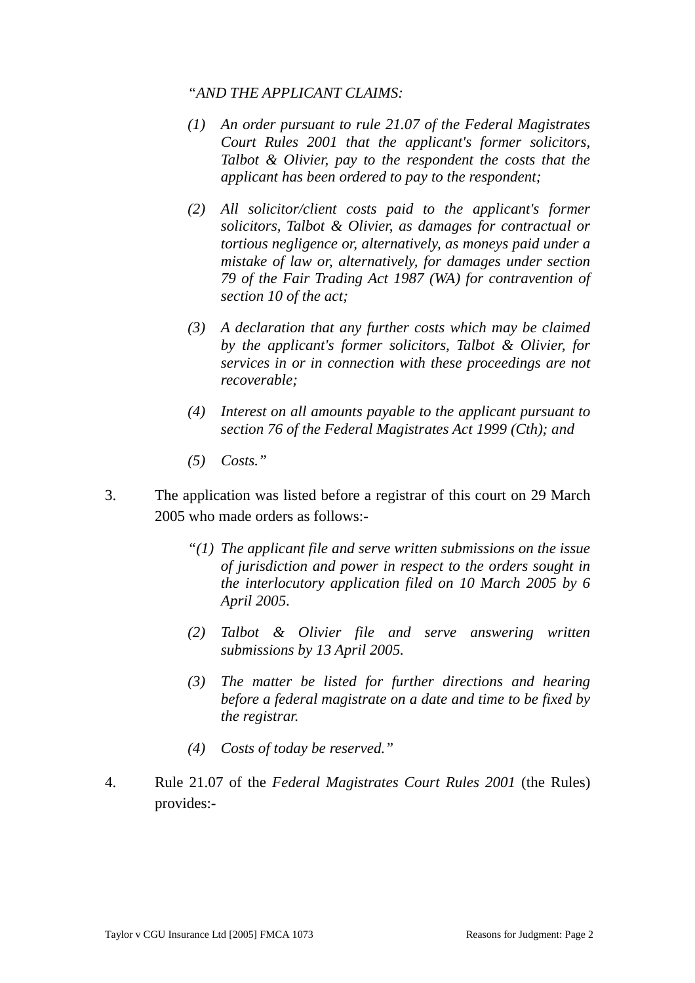#### *"AND THE APPLICANT CLAIMS:*

- *(1) An order pursuant to rule 21.07 of the Federal Magistrates Court Rules 2001 that the applicant's former solicitors, Talbot & Olivier, pay to the respondent the costs that the applicant has been ordered to pay to the respondent;*
- *(2) All solicitor/client costs paid to the applicant's former solicitors, Talbot & Olivier, as damages for contractual or tortious negligence or, alternatively, as moneys paid under a mistake of law or, alternatively, for damages under section 79 of the Fair Trading Act 1987 (WA) for contravention of section 10 of the act;*
- *(3) A declaration that any further costs which may be claimed by the applicant's former solicitors, Talbot & Olivier, for services in or in connection with these proceedings are not recoverable;*
- *(4) Interest on all amounts payable to the applicant pursuant to section 76 of the Federal Magistrates Act 1999 (Cth); and*
- *(5) Costs."*
- 3. The application was listed before a registrar of this court on 29 March 2005 who made orders as follows:-
	- *"(1) The applicant file and serve written submissions on the issue of jurisdiction and power in respect to the orders sought in the interlocutory application filed on 10 March 2005 by 6 April 2005.*
	- *(2) Talbot & Olivier file and serve answering written submissions by 13 April 2005.*
	- *(3) The matter be listed for further directions and hearing before a federal magistrate on a date and time to be fixed by the registrar.*
	- *(4) Costs of today be reserved."*
- 4. Rule 21.07 of the *Federal Magistrates Court Rules 2001* (the Rules) provides:-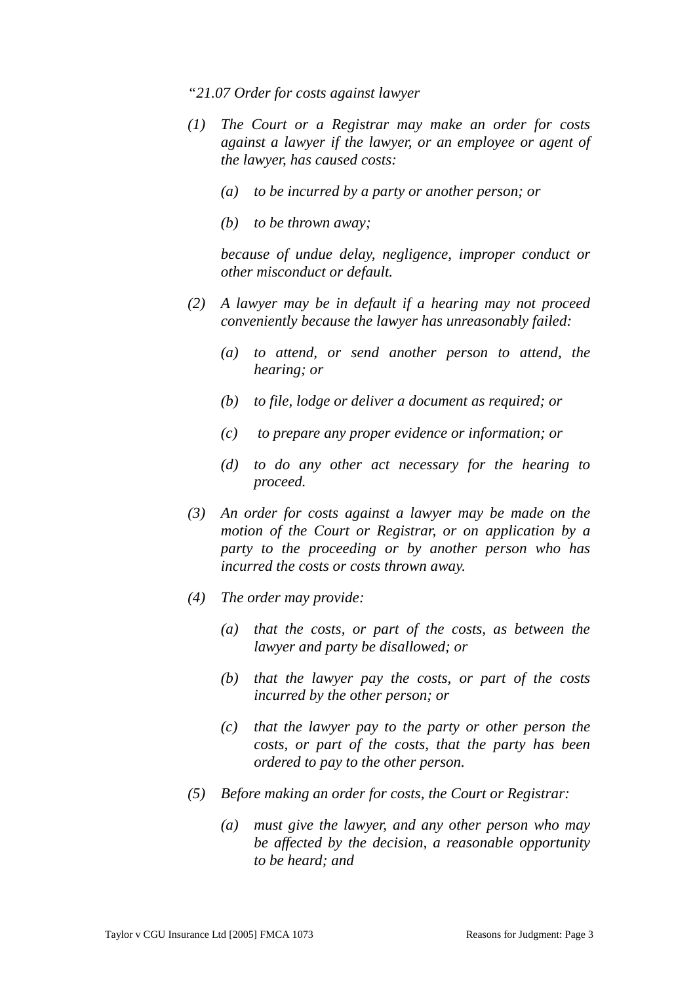*"21.07 Order for costs against lawyer* 

- *(1) The Court or a Registrar may make an order for costs against a lawyer if the lawyer, or an employee or agent of the lawyer, has caused costs:* 
	- *(a) to be incurred by a party or another person; or*
	- *(b) to be thrown away;*

*because of undue delay, negligence, improper conduct or other misconduct or default.* 

- *(2) A lawyer may be in default if a hearing may not proceed conveniently because the lawyer has unreasonably failed:* 
	- *(a) to attend, or send another person to attend, the hearing; or*
	- *(b) to file, lodge or deliver a document as required; or*
	- *(c) to prepare any proper evidence or information; or*
	- *(d) to do any other act necessary for the hearing to proceed.*
- *(3) An order for costs against a lawyer may be made on the motion of the Court or Registrar, or on application by a party to the proceeding or by another person who has incurred the costs or costs thrown away.*
- *(4) The order may provide:* 
	- *(a) that the costs, or part of the costs, as between the lawyer and party be disallowed; or*
	- *(b) that the lawyer pay the costs, or part of the costs incurred by the other person; or*
	- *(c) that the lawyer pay to the party or other person the costs, or part of the costs, that the party has been ordered to pay to the other person.*
- *(5) Before making an order for costs, the Court or Registrar:* 
	- *(a) must give the lawyer, and any other person who may be affected by the decision, a reasonable opportunity to be heard; and*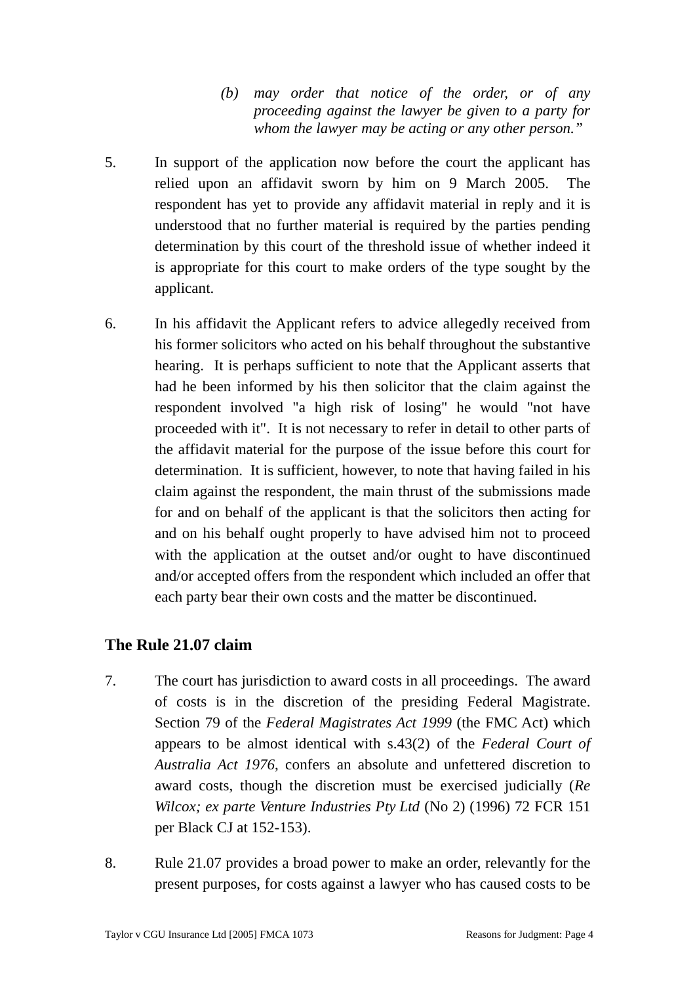*(b) may order that notice of the order, or of any proceeding against the lawyer be given to a party for whom the lawyer may be acting or any other person."*

- 5. In support of the application now before the court the applicant has relied upon an affidavit sworn by him on 9 March 2005. The respondent has yet to provide any affidavit material in reply and it is understood that no further material is required by the parties pending determination by this court of the threshold issue of whether indeed it is appropriate for this court to make orders of the type sought by the applicant.
- 6. In his affidavit the Applicant refers to advice allegedly received from his former solicitors who acted on his behalf throughout the substantive hearing. It is perhaps sufficient to note that the Applicant asserts that had he been informed by his then solicitor that the claim against the respondent involved "a high risk of losing" he would "not have proceeded with it". It is not necessary to refer in detail to other parts of the affidavit material for the purpose of the issue before this court for determination. It is sufficient, however, to note that having failed in his claim against the respondent, the main thrust of the submissions made for and on behalf of the applicant is that the solicitors then acting for and on his behalf ought properly to have advised him not to proceed with the application at the outset and/or ought to have discontinued and/or accepted offers from the respondent which included an offer that each party bear their own costs and the matter be discontinued.

## **The Rule 21.07 claim**

- 7. The court has jurisdiction to award costs in all proceedings. The award of costs is in the discretion of the presiding Federal Magistrate. Section 79 of the *Federal Magistrates Act 1999* (the FMC Act) which appears to be almost identical with s.43(2) of the *Federal Court of Australia Act 1976*, confers an absolute and unfettered discretion to award costs, though the discretion must be exercised judicially (*Re Wilcox; ex parte Venture Industries Pty Ltd* (No 2) (1996) 72 FCR 151 per Black CJ at 152-153).
- 8. Rule 21.07 provides a broad power to make an order, relevantly for the present purposes, for costs against a lawyer who has caused costs to be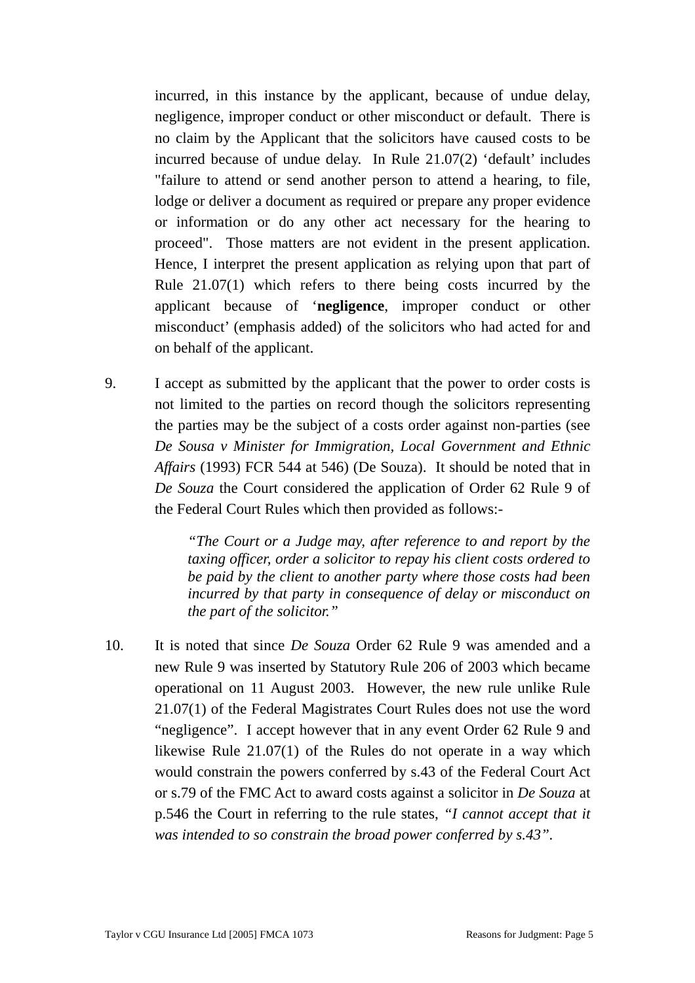incurred, in this instance by the applicant, because of undue delay, negligence, improper conduct or other misconduct or default. There is no claim by the Applicant that the solicitors have caused costs to be incurred because of undue delay. In Rule 21.07(2) 'default' includes "failure to attend or send another person to attend a hearing, to file, lodge or deliver a document as required or prepare any proper evidence or information or do any other act necessary for the hearing to proceed". Those matters are not evident in the present application. Hence, I interpret the present application as relying upon that part of Rule 21.07(1) which refers to there being costs incurred by the applicant because of '**negligence**, improper conduct or other misconduct' (emphasis added) of the solicitors who had acted for and on behalf of the applicant.

9. I accept as submitted by the applicant that the power to order costs is not limited to the parties on record though the solicitors representing the parties may be the subject of a costs order against non-parties (see *De Sousa v Minister for Immigration, Local Government and Ethnic Affairs* (1993) FCR 544 at 546) (De Souza). It should be noted that in *De Souza* the Court considered the application of Order 62 Rule 9 of the Federal Court Rules which then provided as follows:-

> *"The Court or a Judge may, after reference to and report by the taxing officer, order a solicitor to repay his client costs ordered to be paid by the client to another party where those costs had been incurred by that party in consequence of delay or misconduct on the part of the solicitor."*

10. It is noted that since *De Souza* Order 62 Rule 9 was amended and a new Rule 9 was inserted by Statutory Rule 206 of 2003 which became operational on 11 August 2003. However, the new rule unlike Rule 21.07(1) of the Federal Magistrates Court Rules does not use the word "negligence". I accept however that in any event Order 62 Rule 9 and likewise Rule 21.07(1) of the Rules do not operate in a way which would constrain the powers conferred by s.43 of the Federal Court Act or s.79 of the FMC Act to award costs against a solicitor in *De Souza* at p.546 the Court in referring to the rule states, *"I cannot accept that it was intended to so constrain the broad power conferred by s.43".*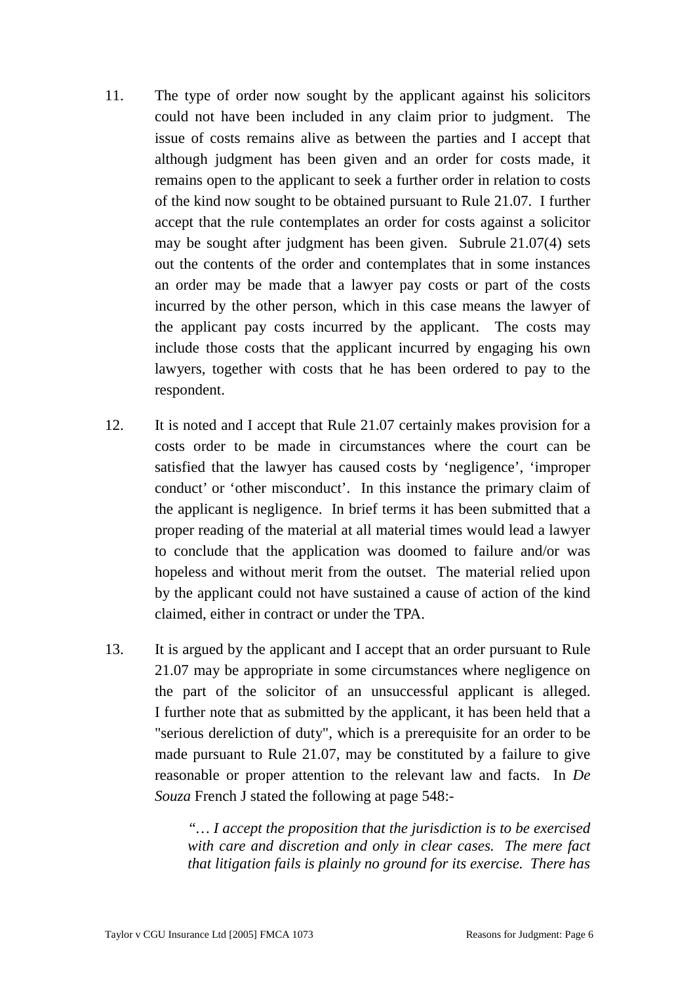- 11. The type of order now sought by the applicant against his solicitors could not have been included in any claim prior to judgment. The issue of costs remains alive as between the parties and I accept that although judgment has been given and an order for costs made, it remains open to the applicant to seek a further order in relation to costs of the kind now sought to be obtained pursuant to Rule 21.07. I further accept that the rule contemplates an order for costs against a solicitor may be sought after judgment has been given. Subrule 21.07(4) sets out the contents of the order and contemplates that in some instances an order may be made that a lawyer pay costs or part of the costs incurred by the other person, which in this case means the lawyer of the applicant pay costs incurred by the applicant. The costs may include those costs that the applicant incurred by engaging his own lawyers, together with costs that he has been ordered to pay to the respondent.
- 12. It is noted and I accept that Rule 21.07 certainly makes provision for a costs order to be made in circumstances where the court can be satisfied that the lawyer has caused costs by 'negligence', 'improper conduct' or 'other misconduct'. In this instance the primary claim of the applicant is negligence. In brief terms it has been submitted that a proper reading of the material at all material times would lead a lawyer to conclude that the application was doomed to failure and/or was hopeless and without merit from the outset. The material relied upon by the applicant could not have sustained a cause of action of the kind claimed, either in contract or under the TPA.
- 13. It is argued by the applicant and I accept that an order pursuant to Rule 21.07 may be appropriate in some circumstances where negligence on the part of the solicitor of an unsuccessful applicant is alleged. I further note that as submitted by the applicant, it has been held that a "serious dereliction of duty", which is a prerequisite for an order to be made pursuant to Rule 21.07, may be constituted by a failure to give reasonable or proper attention to the relevant law and facts. In *De Souza* French J stated the following at page 548:-

*"… I accept the proposition that the jurisdiction is to be exercised with care and discretion and only in clear cases. The mere fact that litigation fails is plainly no ground for its exercise. There has*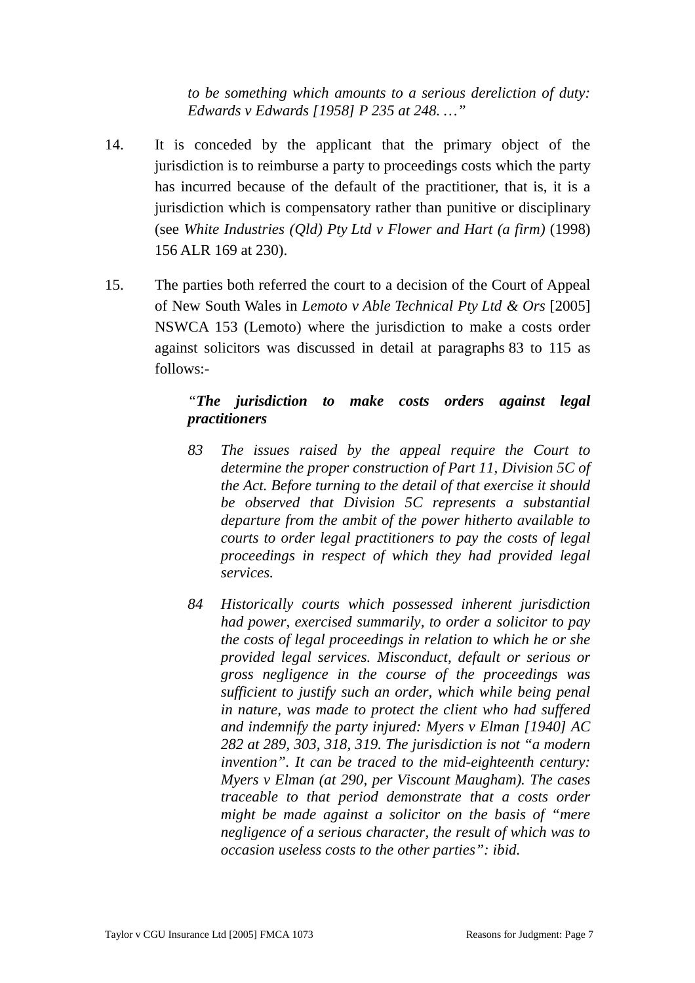*to be something which amounts to a serious dereliction of duty: Edwards v Edwards [1958] P 235 at 248. …"* 

- 14. It is conceded by the applicant that the primary object of the jurisdiction is to reimburse a party to proceedings costs which the party has incurred because of the default of the practitioner, that is, it is a jurisdiction which is compensatory rather than punitive or disciplinary (see *White Industries (Qld) Pty Ltd v Flower and Hart (a firm)* (1998) 156 ALR 169 at 230).
- 15. The parties both referred the court to a decision of the Court of Appeal of New South Wales in *Lemoto v Able Technical Pty Ltd & Ors* [2005] NSWCA 153 (Lemoto) where the jurisdiction to make a costs order against solicitors was discussed in detail at paragraphs 83 to 115 as follows:-

### *"The jurisdiction to make costs orders against legal practitioners*

- *83 The issues raised by the appeal require the Court to determine the proper construction of Part 11, Division 5C of the Act. Before turning to the detail of that exercise it should be observed that Division 5C represents a substantial departure from the ambit of the power hitherto available to courts to order legal practitioners to pay the costs of legal proceedings in respect of which they had provided legal services.*
- *84 Historically courts which possessed inherent jurisdiction had power, exercised summarily, to order a solicitor to pay the costs of legal proceedings in relation to which he or she provided legal services. Misconduct, default or serious or gross negligence in the course of the proceedings was sufficient to justify such an order, which while being penal in nature, was made to protect the client who had suffered and indemnify the party injured: Myers v Elman [1940] AC 282 at 289, 303, 318, 319. The jurisdiction is not "a modern invention". It can be traced to the mid-eighteenth century: Myers v Elman (at 290, per Viscount Maugham). The cases traceable to that period demonstrate that a costs order might be made against a solicitor on the basis of "mere negligence of a serious character, the result of which was to occasion useless costs to the other parties": ibid.*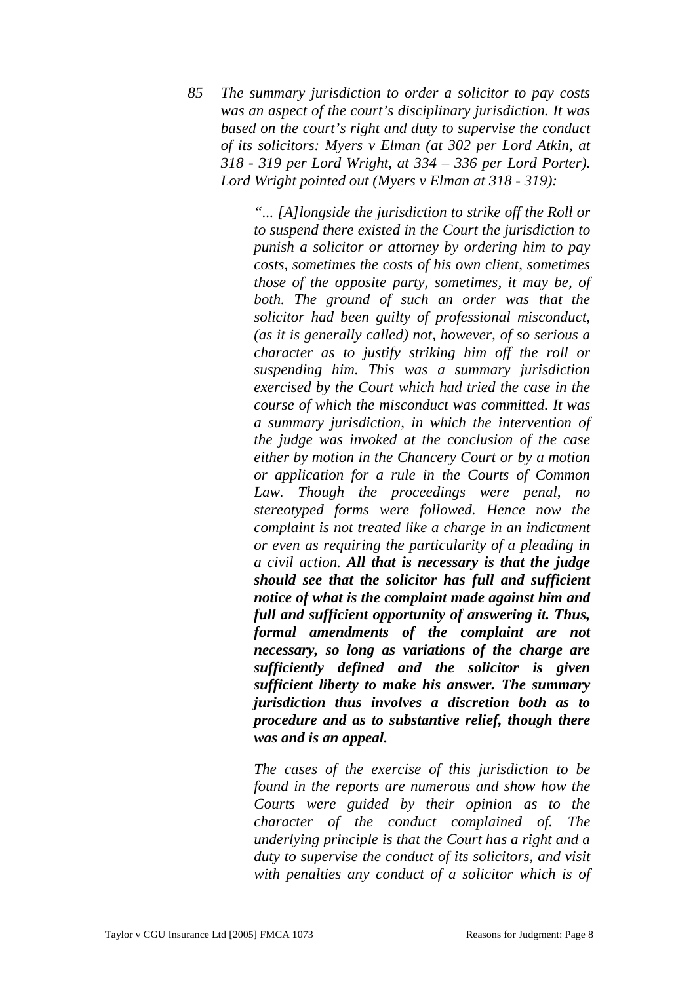*85 The summary jurisdiction to order a solicitor to pay costs was an aspect of the court's disciplinary jurisdiction. It was based on the court's right and duty to supervise the conduct of its solicitors: Myers v Elman (at 302 per Lord Atkin, at 318 - 319 per Lord Wright, at 334 – 336 per Lord Porter). Lord Wright pointed out (Myers v Elman at 318 - 319):* 

> *"... [A]longside the jurisdiction to strike off the Roll or to suspend there existed in the Court the jurisdiction to punish a solicitor or attorney by ordering him to pay costs, sometimes the costs of his own client, sometimes those of the opposite party, sometimes, it may be, of both. The ground of such an order was that the solicitor had been guilty of professional misconduct, (as it is generally called) not, however, of so serious a character as to justify striking him off the roll or suspending him. This was a summary jurisdiction exercised by the Court which had tried the case in the course of which the misconduct was committed. It was a summary jurisdiction, in which the intervention of the judge was invoked at the conclusion of the case either by motion in the Chancery Court or by a motion or application for a rule in the Courts of Common Law. Though the proceedings were penal, no stereotyped forms were followed. Hence now the complaint is not treated like a charge in an indictment or even as requiring the particularity of a pleading in a civil action. All that is necessary is that the judge should see that the solicitor has full and sufficient notice of what is the complaint made against him and full and sufficient opportunity of answering it. Thus, formal amendments of the complaint are not necessary, so long as variations of the charge are sufficiently defined and the solicitor is given sufficient liberty to make his answer. The summary jurisdiction thus involves a discretion both as to procedure and as to substantive relief, though there was and is an appeal.*

> *The cases of the exercise of this jurisdiction to be found in the reports are numerous and show how the Courts were guided by their opinion as to the character of the conduct complained of. The underlying principle is that the Court has a right and a duty to supervise the conduct of its solicitors, and visit with penalties any conduct of a solicitor which is of*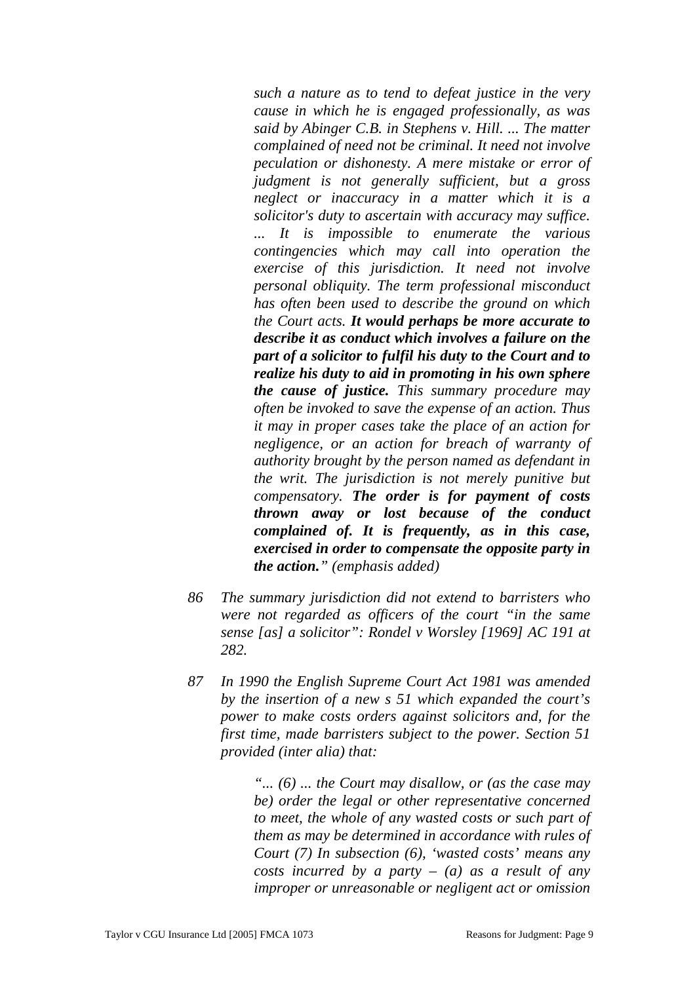*such a nature as to tend to defeat justice in the very cause in which he is engaged professionally, as was said by Abinger C.B. in Stephens v. Hill. ... The matter complained of need not be criminal. It need not involve peculation or dishonesty. A mere mistake or error of judgment is not generally sufficient, but a gross neglect or inaccuracy in a matter which it is a solicitor's duty to ascertain with accuracy may suffice. ... It is impossible to enumerate the various contingencies which may call into operation the exercise of this jurisdiction. It need not involve personal obliquity. The term professional misconduct has often been used to describe the ground on which the Court acts. It would perhaps be more accurate to describe it as conduct which involves a failure on the part of a solicitor to fulfil his duty to the Court and to realize his duty to aid in promoting in his own sphere the cause of justice. This summary procedure may often be invoked to save the expense of an action. Thus it may in proper cases take the place of an action for negligence, or an action for breach of warranty of authority brought by the person named as defendant in the writ. The jurisdiction is not merely punitive but compensatory. The order is for payment of costs thrown away or lost because of the conduct complained of. It is frequently, as in this case, exercised in order to compensate the opposite party in the action." (emphasis added)* 

- *86 The summary jurisdiction did not extend to barristers who were not regarded as officers of the court "in the same sense [as] a solicitor": Rondel v Worsley [1969] AC 191 at 282.*
- *87 In 1990 the English Supreme Court Act 1981 was amended by the insertion of a new s 51 which expanded the court's power to make costs orders against solicitors and, for the first time, made barristers subject to the power. Section 51 provided (inter alia) that:*

*"... (6) ... the Court may disallow, or (as the case may be) order the legal or other representative concerned to meet, the whole of any wasted costs or such part of them as may be determined in accordance with rules of Court (7) In subsection (6), 'wasted costs' means any costs incurred by a party – (a) as a result of any improper or unreasonable or negligent act or omission*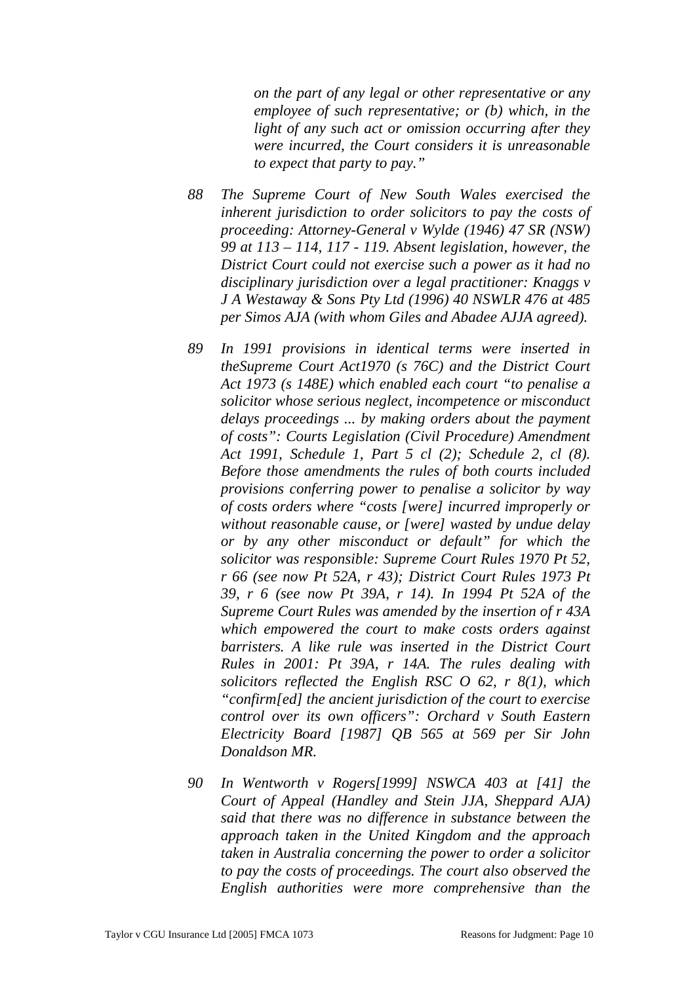*on the part of any legal or other representative or any employee of such representative; or (b) which, in the light of any such act or omission occurring after they were incurred, the Court considers it is unreasonable to expect that party to pay."* 

- *88 The Supreme Court of New South Wales exercised the inherent jurisdiction to order solicitors to pay the costs of proceeding: Attorney-General v Wylde (1946) 47 SR (NSW) 99 at 113 – 114, 117 - 119. Absent legislation, however, the District Court could not exercise such a power as it had no disciplinary jurisdiction over a legal practitioner: Knaggs v J A Westaway & Sons Pty Ltd (1996) 40 NSWLR 476 at 485 per Simos AJA (with whom Giles and Abadee AJJA agreed).*
- *89 In 1991 provisions in identical terms were inserted in theSupreme Court Act1970 (s 76C) and the District Court Act 1973 (s 148E) which enabled each court "to penalise a solicitor whose serious neglect, incompetence or misconduct delays proceedings ... by making orders about the payment of costs": Courts Legislation (Civil Procedure) Amendment Act 1991, Schedule 1, Part 5 cl (2); Schedule 2, cl (8). Before those amendments the rules of both courts included provisions conferring power to penalise a solicitor by way of costs orders where "costs [were] incurred improperly or without reasonable cause, or [were] wasted by undue delay or by any other misconduct or default" for which the solicitor was responsible: Supreme Court Rules 1970 Pt 52, r 66 (see now Pt 52A, r 43); District Court Rules 1973 Pt 39, r 6 (see now Pt 39A, r 14). In 1994 Pt 52A of the Supreme Court Rules was amended by the insertion of r 43A which empowered the court to make costs orders against barristers. A like rule was inserted in the District Court Rules in 2001: Pt 39A, r 14A. The rules dealing with solicitors reflected the English RSC O 62, r 8(1), which "confirm[ed] the ancient jurisdiction of the court to exercise control over its own officers": Orchard v South Eastern Electricity Board [1987] QB 565 at 569 per Sir John Donaldson MR.*
- *90 In Wentworth v Rogers[1999] NSWCA 403 at [41] the Court of Appeal (Handley and Stein JJA, Sheppard AJA) said that there was no difference in substance between the approach taken in the United Kingdom and the approach taken in Australia concerning the power to order a solicitor to pay the costs of proceedings. The court also observed the English authorities were more comprehensive than the*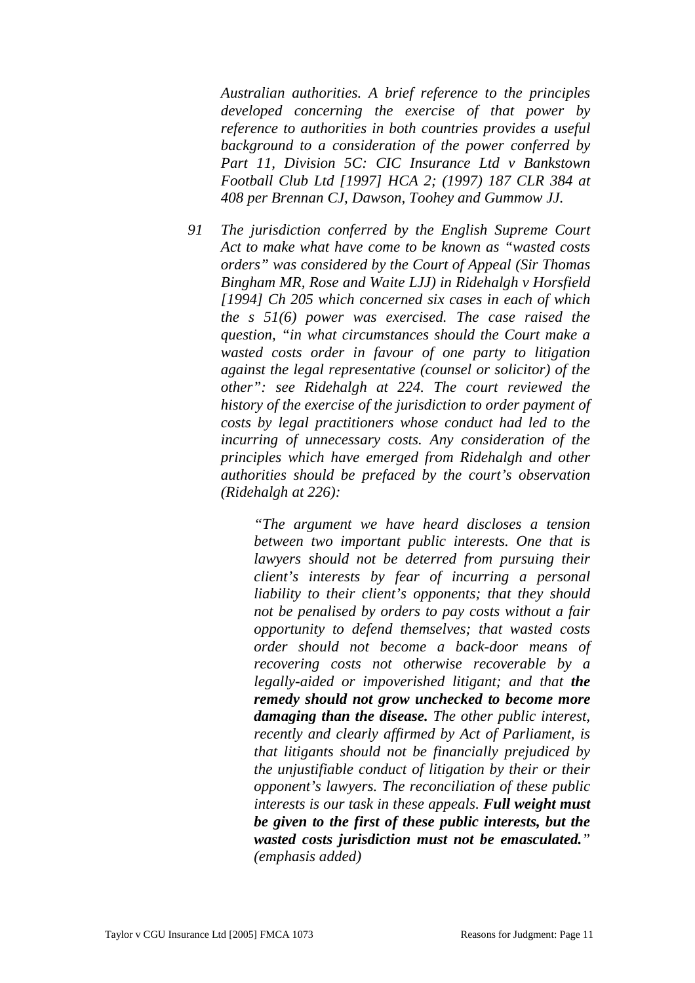*Australian authorities. A brief reference to the principles developed concerning the exercise of that power by reference to authorities in both countries provides a useful background to a consideration of the power conferred by Part 11, Division 5C: CIC Insurance Ltd v Bankstown Football Club Ltd [1997] HCA 2; (1997) 187 CLR 384 at 408 per Brennan CJ, Dawson, Toohey and Gummow JJ.* 

*91 The jurisdiction conferred by the English Supreme Court Act to make what have come to be known as "wasted costs orders" was considered by the Court of Appeal (Sir Thomas Bingham MR, Rose and Waite LJJ) in Ridehalgh v Horsfield [1994] Ch 205 which concerned six cases in each of which the s 51(6) power was exercised. The case raised the question, "in what circumstances should the Court make a wasted costs order in favour of one party to litigation against the legal representative (counsel or solicitor) of the other": see Ridehalgh at 224. The court reviewed the history of the exercise of the jurisdiction to order payment of costs by legal practitioners whose conduct had led to the incurring of unnecessary costs. Any consideration of the principles which have emerged from Ridehalgh and other authorities should be prefaced by the court's observation (Ridehalgh at 226):* 

> *"The argument we have heard discloses a tension between two important public interests. One that is lawyers should not be deterred from pursuing their client's interests by fear of incurring a personal liability to their client's opponents; that they should not be penalised by orders to pay costs without a fair opportunity to defend themselves; that wasted costs order should not become a back-door means of recovering costs not otherwise recoverable by a legally-aided or impoverished litigant; and that the remedy should not grow unchecked to become more damaging than the disease. The other public interest, recently and clearly affirmed by Act of Parliament, is that litigants should not be financially prejudiced by the unjustifiable conduct of litigation by their or their opponent's lawyers. The reconciliation of these public interests is our task in these appeals. Full weight must be given to the first of these public interests, but the wasted costs jurisdiction must not be emasculated." (emphasis added)*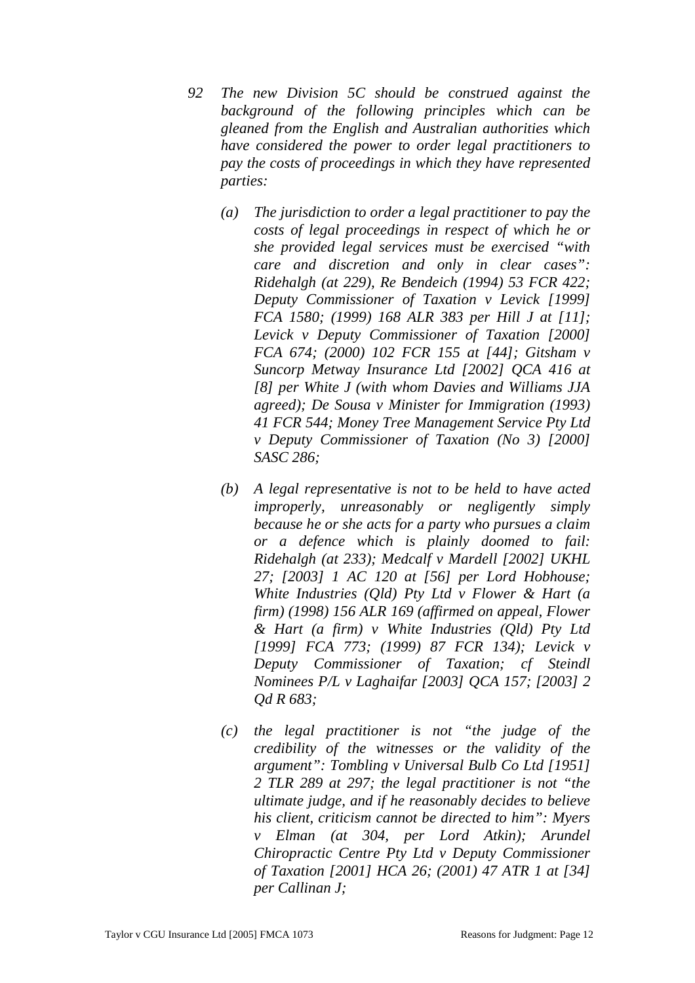*92 The new Division 5C should be construed against the background of the following principles which can be gleaned from the English and Australian authorities which have considered the power to order legal practitioners to pay the costs of proceedings in which they have represented parties:* 

- *(a) The jurisdiction to order a legal practitioner to pay the costs of legal proceedings in respect of which he or she provided legal services must be exercised "with care and discretion and only in clear cases": Ridehalgh (at 229), Re Bendeich (1994) 53 FCR 422; Deputy Commissioner of Taxation v Levick [1999] FCA 1580; (1999) 168 ALR 383 per Hill J at [11]; Levick v Deputy Commissioner of Taxation [2000] FCA 674; (2000) 102 FCR 155 at [44]; Gitsham v Suncorp Metway Insurance Ltd [2002] QCA 416 at [8] per White J (with whom Davies and Williams JJA agreed); De Sousa v Minister for Immigration (1993) 41 FCR 544; Money Tree Management Service Pty Ltd v Deputy Commissioner of Taxation (No 3) [2000] SASC 286;*
- *(b) A legal representative is not to be held to have acted improperly, unreasonably or negligently simply because he or she acts for a party who pursues a claim or a defence which is plainly doomed to fail: Ridehalgh (at 233); Medcalf v Mardell [2002] UKHL 27; [2003] 1 AC 120 at [56] per Lord Hobhouse; White Industries (Qld) Pty Ltd v Flower & Hart (a firm) (1998) 156 ALR 169 (affirmed on appeal, Flower & Hart (a firm) v White Industries (Qld) Pty Ltd [1999] FCA 773; (1999) 87 FCR 134); Levick v Deputy Commissioner of Taxation; cf Steindl Nominees P/L v Laghaifar [2003] QCA 157; [2003] 2 Qd R 683;*
- *(c) the legal practitioner is not "the judge of the credibility of the witnesses or the validity of the argument": Tombling v Universal Bulb Co Ltd [1951] 2 TLR 289 at 297; the legal practitioner is not "the ultimate judge, and if he reasonably decides to believe his client, criticism cannot be directed to him": Myers v Elman (at 304, per Lord Atkin); Arundel Chiropractic Centre Pty Ltd v Deputy Commissioner of Taxation [2001] HCA 26; (2001) 47 ATR 1 at [34] per Callinan J;*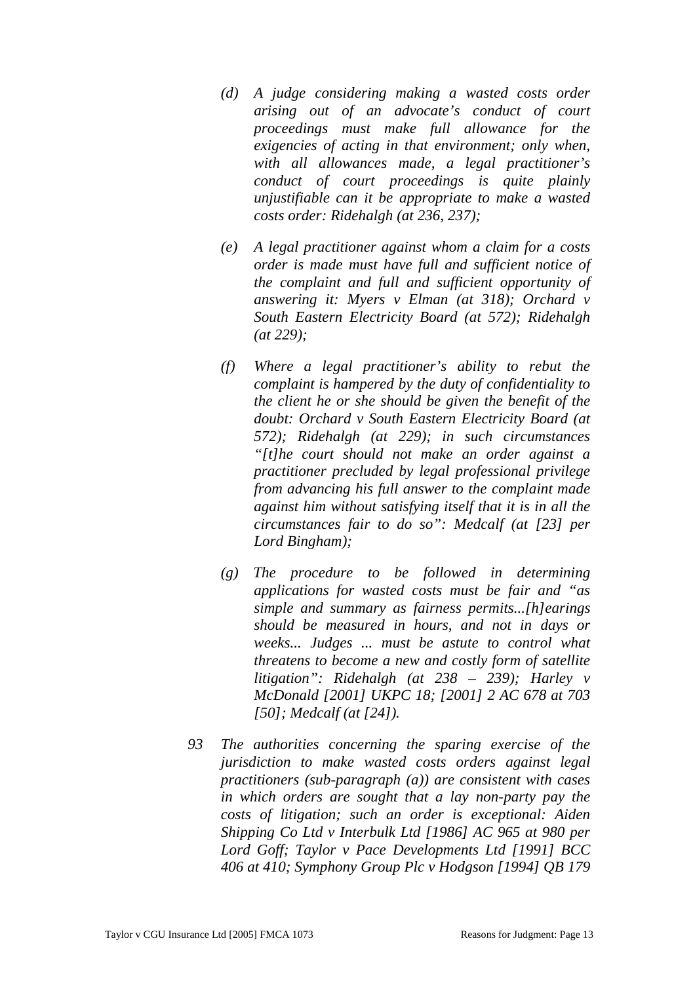- *(d) A judge considering making a wasted costs order arising out of an advocate's conduct of court proceedings must make full allowance for the exigencies of acting in that environment; only when, with all allowances made, a legal practitioner's conduct of court proceedings is quite plainly unjustifiable can it be appropriate to make a wasted costs order: Ridehalgh (at 236, 237);*
- *(e) A legal practitioner against whom a claim for a costs order is made must have full and sufficient notice of the complaint and full and sufficient opportunity of answering it: Myers v Elman (at 318); Orchard v South Eastern Electricity Board (at 572); Ridehalgh (at 229);*
- *(f) Where a legal practitioner's ability to rebut the complaint is hampered by the duty of confidentiality to the client he or she should be given the benefit of the doubt: Orchard v South Eastern Electricity Board (at 572); Ridehalgh (at 229); in such circumstances "[t]he court should not make an order against a practitioner precluded by legal professional privilege from advancing his full answer to the complaint made against him without satisfying itself that it is in all the circumstances fair to do so": Medcalf (at [23] per Lord Bingham);*
- *(g) The procedure to be followed in determining applications for wasted costs must be fair and "as simple and summary as fairness permits...[h]earings should be measured in hours, and not in days or weeks... Judges ... must be astute to control what threatens to become a new and costly form of satellite litigation": Ridehalgh (at 238 – 239); Harley v McDonald [2001] UKPC 18; [2001] 2 AC 678 at 703 [50]; Medcalf (at [24]).*
- *93 The authorities concerning the sparing exercise of the jurisdiction to make wasted costs orders against legal practitioners (sub-paragraph (a)) are consistent with cases in which orders are sought that a lay non-party pay the costs of litigation; such an order is exceptional: Aiden Shipping Co Ltd v Interbulk Ltd [1986] AC 965 at 980 per Lord Goff; Taylor v Pace Developments Ltd [1991] BCC 406 at 410; Symphony Group Plc v Hodgson [1994] QB 179*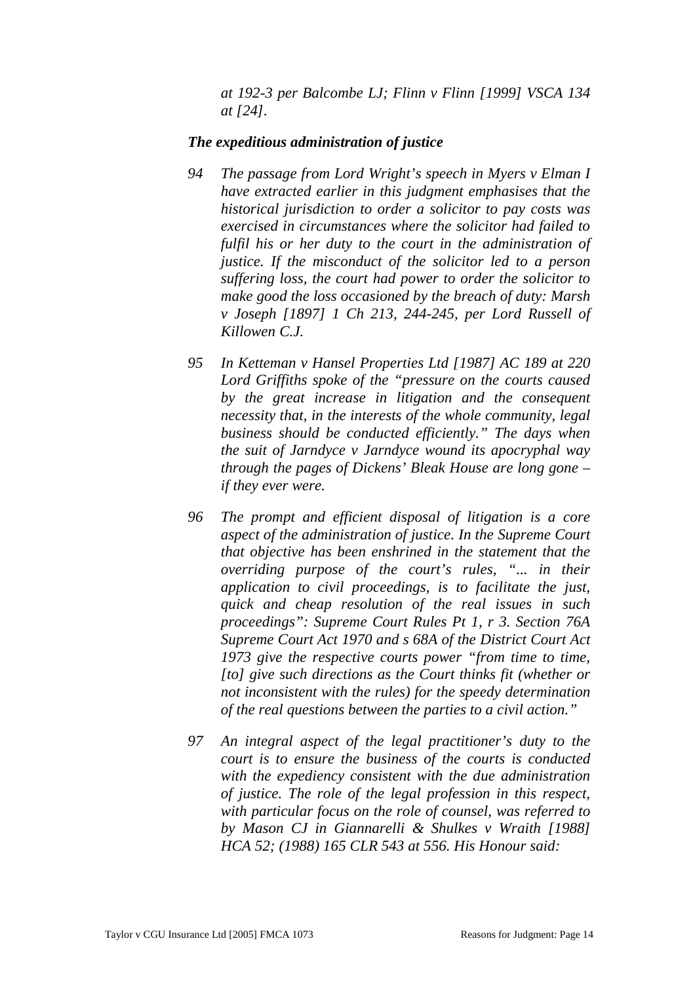*at 192-3 per Balcombe LJ; Flinn v Flinn [1999] VSCA 134 at [24].* 

#### *The expeditious administration of justice*

- *94 The passage from Lord Wright's speech in Myers v Elman I have extracted earlier in this judgment emphasises that the historical jurisdiction to order a solicitor to pay costs was exercised in circumstances where the solicitor had failed to fulfil his or her duty to the court in the administration of justice. If the misconduct of the solicitor led to a person suffering loss, the court had power to order the solicitor to make good the loss occasioned by the breach of duty: Marsh v Joseph [1897] 1 Ch 213, 244-245, per Lord Russell of Killowen C.J.*
- *95 In Ketteman v Hansel Properties Ltd [1987] AC 189 at 220 Lord Griffiths spoke of the "pressure on the courts caused by the great increase in litigation and the consequent necessity that, in the interests of the whole community, legal business should be conducted efficiently." The days when the suit of Jarndyce v Jarndyce wound its apocryphal way through the pages of Dickens' Bleak House are long gone – if they ever were.*
- *96 The prompt and efficient disposal of litigation is a core aspect of the administration of justice. In the Supreme Court that objective has been enshrined in the statement that the overriding purpose of the court's rules, "... in their application to civil proceedings, is to facilitate the just, quick and cheap resolution of the real issues in such proceedings": Supreme Court Rules Pt 1, r 3. Section 76A Supreme Court Act 1970 and s 68A of the District Court Act 1973 give the respective courts power "from time to time, [to] give such directions as the Court thinks fit (whether or not inconsistent with the rules) for the speedy determination of the real questions between the parties to a civil action."*
- *97 An integral aspect of the legal practitioner's duty to the court is to ensure the business of the courts is conducted with the expediency consistent with the due administration of justice. The role of the legal profession in this respect, with particular focus on the role of counsel, was referred to by Mason CJ in Giannarelli & Shulkes v Wraith [1988] HCA 52; (1988) 165 CLR 543 at 556. His Honour said:*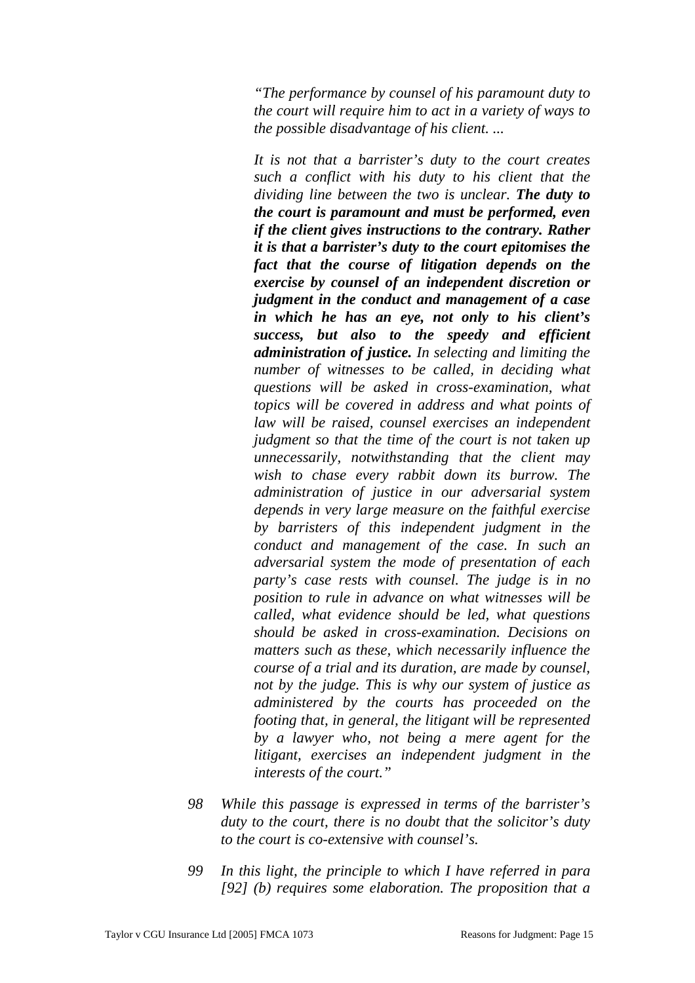*"The performance by counsel of his paramount duty to the court will require him to act in a variety of ways to the possible disadvantage of his client. ...* 

*It is not that a barrister's duty to the court creates such a conflict with his duty to his client that the dividing line between the two is unclear. The duty to the court is paramount and must be performed, even if the client gives instructions to the contrary. Rather it is that a barrister's duty to the court epitomises the fact that the course of litigation depends on the exercise by counsel of an independent discretion or judgment in the conduct and management of a case in which he has an eye, not only to his client's success, but also to the speedy and efficient administration of justice. In selecting and limiting the number of witnesses to be called, in deciding what questions will be asked in cross-examination, what topics will be covered in address and what points of law will be raised, counsel exercises an independent judgment so that the time of the court is not taken up unnecessarily, notwithstanding that the client may wish to chase every rabbit down its burrow. The administration of justice in our adversarial system depends in very large measure on the faithful exercise by barristers of this independent judgment in the conduct and management of the case. In such an adversarial system the mode of presentation of each party's case rests with counsel. The judge is in no position to rule in advance on what witnesses will be called, what evidence should be led, what questions should be asked in cross-examination. Decisions on matters such as these, which necessarily influence the course of a trial and its duration, are made by counsel, not by the judge. This is why our system of justice as administered by the courts has proceeded on the footing that, in general, the litigant will be represented by a lawyer who, not being a mere agent for the litigant, exercises an independent judgment in the interests of the court."* 

- *98 While this passage is expressed in terms of the barrister's duty to the court, there is no doubt that the solicitor's duty to the court is co-extensive with counsel's.*
- *99 In this light, the principle to which I have referred in para [92] (b) requires some elaboration. The proposition that a*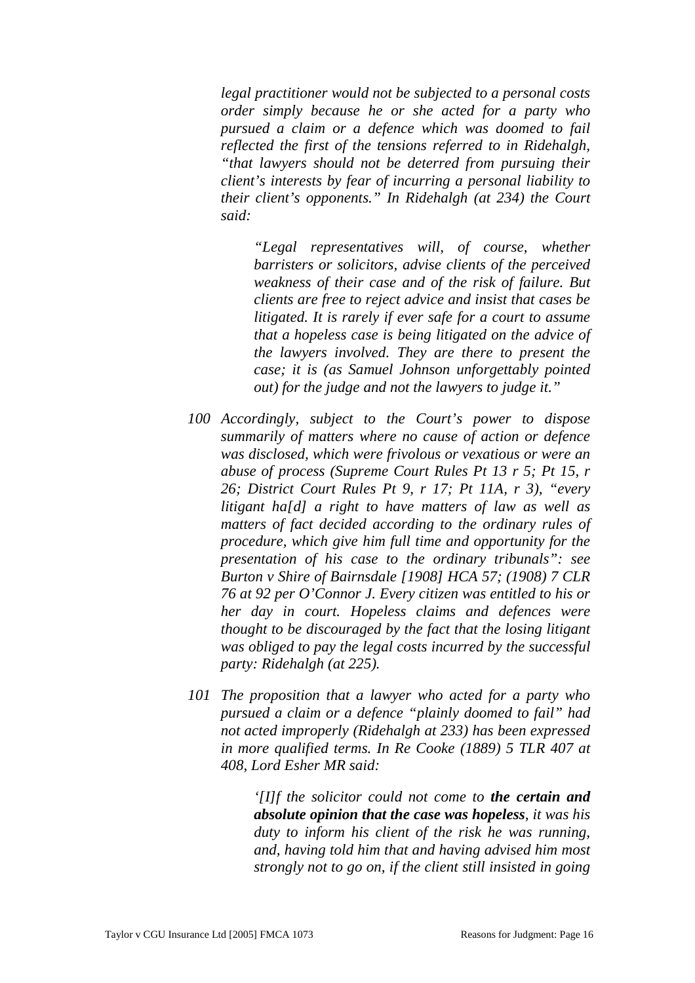*legal practitioner would not be subjected to a personal costs order simply because he or she acted for a party who pursued a claim or a defence which was doomed to fail reflected the first of the tensions referred to in Ridehalgh, "that lawyers should not be deterred from pursuing their client's interests by fear of incurring a personal liability to their client's opponents." In Ridehalgh (at 234) the Court said:* 

*"Legal representatives will, of course, whether barristers or solicitors, advise clients of the perceived weakness of their case and of the risk of failure. But clients are free to reject advice and insist that cases be litigated. It is rarely if ever safe for a court to assume that a hopeless case is being litigated on the advice of the lawyers involved. They are there to present the case; it is (as Samuel Johnson unforgettably pointed out) for the judge and not the lawyers to judge it."* 

- *100 Accordingly, subject to the Court's power to dispose summarily of matters where no cause of action or defence was disclosed, which were frivolous or vexatious or were an abuse of process (Supreme Court Rules Pt 13 r 5; Pt 15, r 26; District Court Rules Pt 9, r 17; Pt 11A, r 3), "every litigant ha[d] a right to have matters of law as well as matters of fact decided according to the ordinary rules of procedure, which give him full time and opportunity for the presentation of his case to the ordinary tribunals": see Burton v Shire of Bairnsdale [1908] HCA 57; (1908) 7 CLR 76 at 92 per O'Connor J. Every citizen was entitled to his or her day in court. Hopeless claims and defences were thought to be discouraged by the fact that the losing litigant was obliged to pay the legal costs incurred by the successful party: Ridehalgh (at 225).*
- *101 The proposition that a lawyer who acted for a party who pursued a claim or a defence "plainly doomed to fail" had not acted improperly (Ridehalgh at 233) has been expressed in more qualified terms. In Re Cooke (1889) 5 TLR 407 at 408, Lord Esher MR said:*

*'[I]f the solicitor could not come to the certain and absolute opinion that the case was hopeless, it was his duty to inform his client of the risk he was running, and, having told him that and having advised him most strongly not to go on, if the client still insisted in going*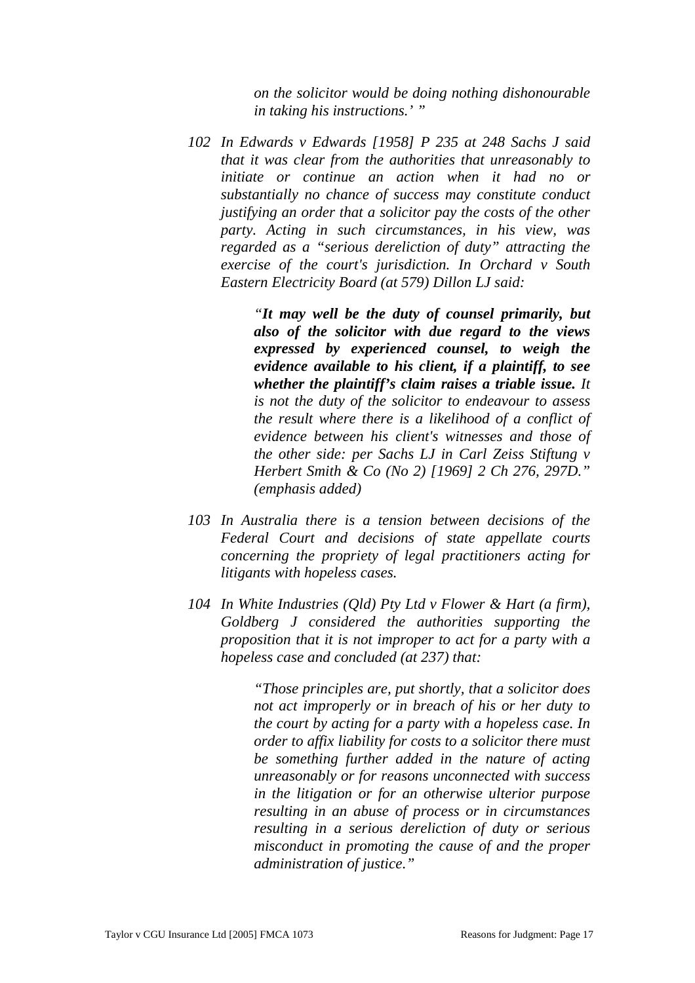*on the solicitor would be doing nothing dishonourable in taking his instructions.' "* 

*102 In Edwards v Edwards [1958] P 235 at 248 Sachs J said that it was clear from the authorities that unreasonably to initiate or continue an action when it had no or substantially no chance of success may constitute conduct justifying an order that a solicitor pay the costs of the other party. Acting in such circumstances, in his view, was regarded as a "serious dereliction of duty" attracting the exercise of the court's jurisdiction. In Orchard v South Eastern Electricity Board (at 579) Dillon LJ said:* 

> *"It may well be the duty of counsel primarily, but also of the solicitor with due regard to the views expressed by experienced counsel, to weigh the evidence available to his client, if a plaintiff, to see whether the plaintiff's claim raises a triable issue. It is not the duty of the solicitor to endeavour to assess the result where there is a likelihood of a conflict of evidence between his client's witnesses and those of the other side: per Sachs LJ in Carl Zeiss Stiftung v Herbert Smith & Co (No 2) [1969] 2 Ch 276, 297D." (emphasis added)*

- *103 In Australia there is a tension between decisions of the Federal Court and decisions of state appellate courts concerning the propriety of legal practitioners acting for litigants with hopeless cases.*
- *104 In White Industries (Qld) Pty Ltd v Flower & Hart (a firm), Goldberg J considered the authorities supporting the proposition that it is not improper to act for a party with a hopeless case and concluded (at 237) that:*

*"Those principles are, put shortly, that a solicitor does not act improperly or in breach of his or her duty to the court by acting for a party with a hopeless case. In order to affix liability for costs to a solicitor there must be something further added in the nature of acting unreasonably or for reasons unconnected with success in the litigation or for an otherwise ulterior purpose resulting in an abuse of process or in circumstances resulting in a serious dereliction of duty or serious misconduct in promoting the cause of and the proper administration of justice."*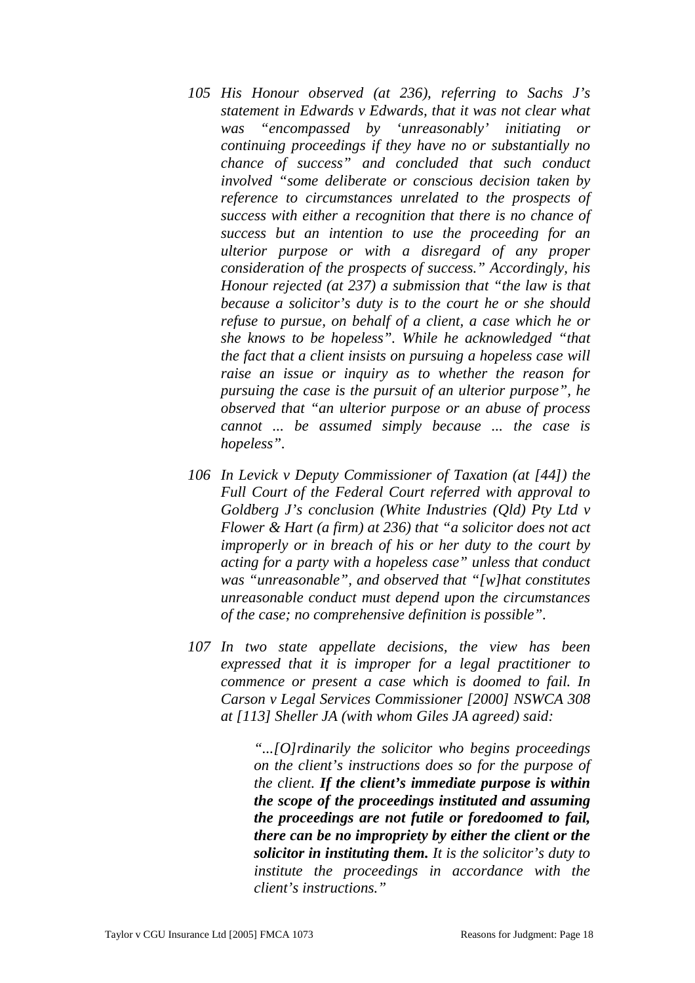- *105 His Honour observed (at 236), referring to Sachs J's statement in Edwards v Edwards, that it was not clear what was "encompassed by 'unreasonably' initiating or continuing proceedings if they have no or substantially no chance of success" and concluded that such conduct involved "some deliberate or conscious decision taken by reference to circumstances unrelated to the prospects of success with either a recognition that there is no chance of success but an intention to use the proceeding for an ulterior purpose or with a disregard of any proper consideration of the prospects of success." Accordingly, his Honour rejected (at 237) a submission that "the law is that because a solicitor's duty is to the court he or she should refuse to pursue, on behalf of a client, a case which he or she knows to be hopeless". While he acknowledged "that the fact that a client insists on pursuing a hopeless case will raise an issue or inquiry as to whether the reason for pursuing the case is the pursuit of an ulterior purpose", he observed that "an ulterior purpose or an abuse of process cannot ... be assumed simply because ... the case is hopeless".*
- *106 In Levick v Deputy Commissioner of Taxation (at [44]) the Full Court of the Federal Court referred with approval to Goldberg J's conclusion (White Industries (Qld) Pty Ltd v Flower & Hart (a firm) at 236) that "a solicitor does not act improperly or in breach of his or her duty to the court by acting for a party with a hopeless case" unless that conduct was "unreasonable", and observed that "[w]hat constitutes unreasonable conduct must depend upon the circumstances of the case; no comprehensive definition is possible".*
- *107 In two state appellate decisions, the view has been expressed that it is improper for a legal practitioner to commence or present a case which is doomed to fail. In Carson v Legal Services Commissioner [2000] NSWCA 308 at [113] Sheller JA (with whom Giles JA agreed) said:*

*"...[O]rdinarily the solicitor who begins proceedings on the client's instructions does so for the purpose of the client. If the client's immediate purpose is within the scope of the proceedings instituted and assuming the proceedings are not futile or foredoomed to fail, there can be no impropriety by either the client or the solicitor in instituting them. It is the solicitor's duty to institute the proceedings in accordance with the client's instructions."*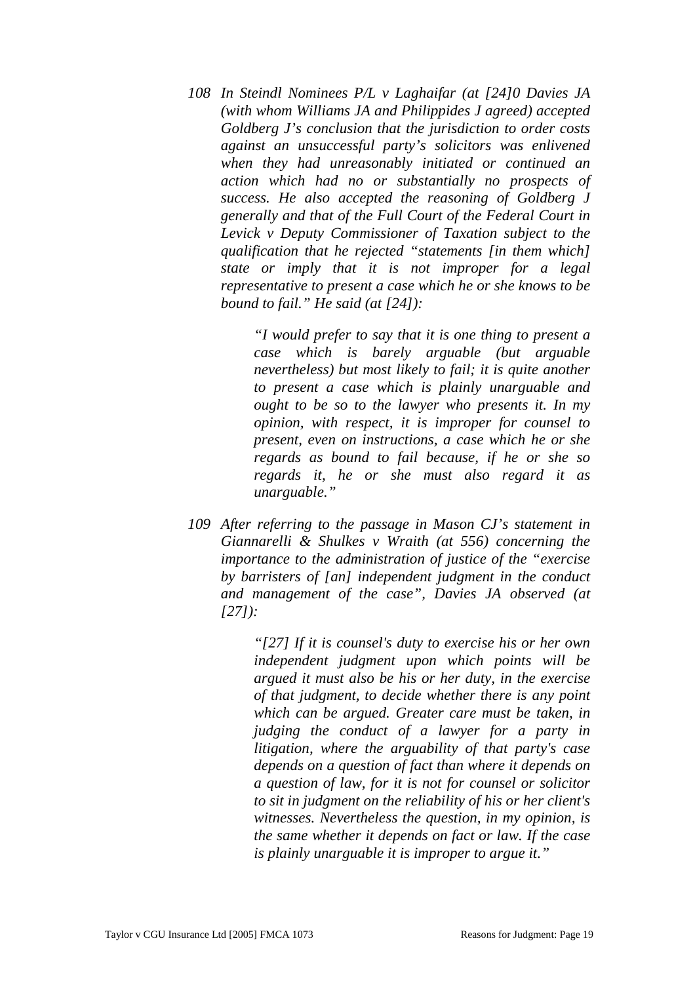*108 In Steindl Nominees P/L v Laghaifar (at [24]0 Davies JA (with whom Williams JA and Philippides J agreed) accepted Goldberg J's conclusion that the jurisdiction to order costs against an unsuccessful party's solicitors was enlivened when they had unreasonably initiated or continued an action which had no or substantially no prospects of success. He also accepted the reasoning of Goldberg J generally and that of the Full Court of the Federal Court in Levick v Deputy Commissioner of Taxation subject to the qualification that he rejected "statements [in them which] state or imply that it is not improper for a legal representative to present a case which he or she knows to be bound to fail." He said (at [24]):* 

> *"I would prefer to say that it is one thing to present a case which is barely arguable (but arguable nevertheless) but most likely to fail; it is quite another to present a case which is plainly unarguable and ought to be so to the lawyer who presents it. In my opinion, with respect, it is improper for counsel to present, even on instructions, a case which he or she regards as bound to fail because, if he or she so regards it, he or she must also regard it as unarguable."*

*109 After referring to the passage in Mason CJ's statement in Giannarelli & Shulkes v Wraith (at 556) concerning the importance to the administration of justice of the "exercise by barristers of [an] independent judgment in the conduct and management of the case", Davies JA observed (at [27]):* 

> *"[27] If it is counsel's duty to exercise his or her own independent judgment upon which points will be argued it must also be his or her duty, in the exercise of that judgment, to decide whether there is any point which can be argued. Greater care must be taken, in judging the conduct of a lawyer for a party in litigation, where the arguability of that party's case depends on a question of fact than where it depends on a question of law, for it is not for counsel or solicitor to sit in judgment on the reliability of his or her client's witnesses. Nevertheless the question, in my opinion, is the same whether it depends on fact or law. If the case is plainly unarguable it is improper to argue it."*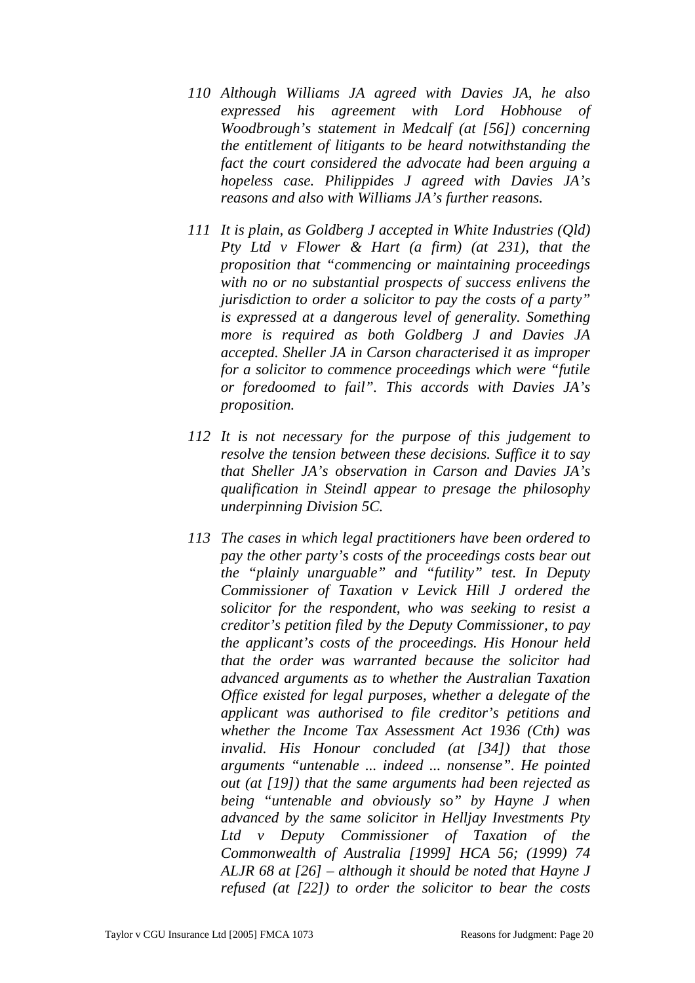- *110 Although Williams JA agreed with Davies JA, he also expressed his agreement with Lord Hobhouse of Woodbrough's statement in Medcalf (at [56]) concerning the entitlement of litigants to be heard notwithstanding the fact the court considered the advocate had been arguing a hopeless case. Philippides J agreed with Davies JA's reasons and also with Williams JA's further reasons.*
- *111 It is plain, as Goldberg J accepted in White Industries (Qld) Pty Ltd v Flower & Hart (a firm) (at 231), that the proposition that "commencing or maintaining proceedings with no or no substantial prospects of success enlivens the jurisdiction to order a solicitor to pay the costs of a party" is expressed at a dangerous level of generality. Something more is required as both Goldberg J and Davies JA accepted. Sheller JA in Carson characterised it as improper for a solicitor to commence proceedings which were "futile or foredoomed to fail". This accords with Davies JA's proposition.*
- *112 It is not necessary for the purpose of this judgement to resolve the tension between these decisions. Suffice it to say that Sheller JA's observation in Carson and Davies JA's qualification in Steindl appear to presage the philosophy underpinning Division 5C.*
- *113 The cases in which legal practitioners have been ordered to pay the other party's costs of the proceedings costs bear out the "plainly unarguable" and "futility" test. In Deputy Commissioner of Taxation v Levick Hill J ordered the solicitor for the respondent, who was seeking to resist a creditor's petition filed by the Deputy Commissioner, to pay the applicant's costs of the proceedings. His Honour held that the order was warranted because the solicitor had advanced arguments as to whether the Australian Taxation Office existed for legal purposes, whether a delegate of the applicant was authorised to file creditor's petitions and whether the Income Tax Assessment Act 1936 (Cth) was invalid. His Honour concluded (at [34]) that those arguments "untenable ... indeed ... nonsense". He pointed out (at [19]) that the same arguments had been rejected as being "untenable and obviously so" by Hayne J when advanced by the same solicitor in Helljay Investments Pty Ltd v Deputy Commissioner of Taxation of the Commonwealth of Australia [1999] HCA 56; (1999) 74 ALJR 68 at [26] – although it should be noted that Hayne J refused (at [22]) to order the solicitor to bear the costs*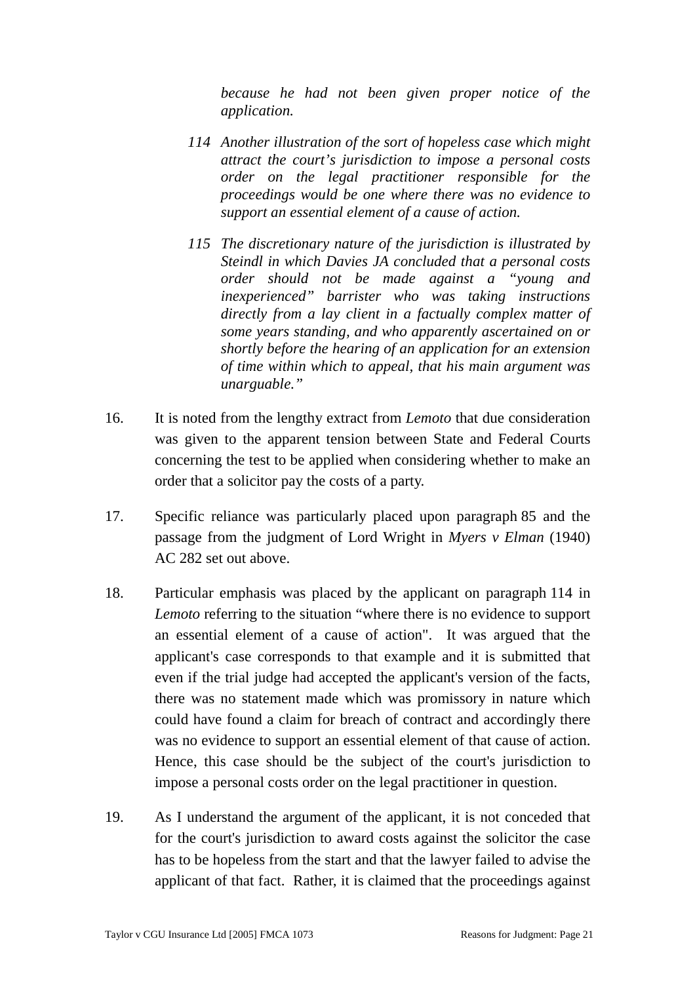*because he had not been given proper notice of the application.* 

- *114 Another illustration of the sort of hopeless case which might attract the court's jurisdiction to impose a personal costs order on the legal practitioner responsible for the proceedings would be one where there was no evidence to support an essential element of a cause of action.*
- *115 The discretionary nature of the jurisdiction is illustrated by Steindl in which Davies JA concluded that a personal costs order should not be made against a "young and inexperienced" barrister who was taking instructions directly from a lay client in a factually complex matter of some years standing, and who apparently ascertained on or shortly before the hearing of an application for an extension of time within which to appeal, that his main argument was unarguable."*
- 16. It is noted from the lengthy extract from *Lemoto* that due consideration was given to the apparent tension between State and Federal Courts concerning the test to be applied when considering whether to make an order that a solicitor pay the costs of a party.
- 17. Specific reliance was particularly placed upon paragraph 85 and the passage from the judgment of Lord Wright in *Myers v Elman* (1940) AC 282 set out above.
- 18. Particular emphasis was placed by the applicant on paragraph 114 in *Lemoto* referring to the situation "where there is no evidence to support an essential element of a cause of action". It was argued that the applicant's case corresponds to that example and it is submitted that even if the trial judge had accepted the applicant's version of the facts, there was no statement made which was promissory in nature which could have found a claim for breach of contract and accordingly there was no evidence to support an essential element of that cause of action. Hence, this case should be the subject of the court's jurisdiction to impose a personal costs order on the legal practitioner in question.
- 19. As I understand the argument of the applicant, it is not conceded that for the court's jurisdiction to award costs against the solicitor the case has to be hopeless from the start and that the lawyer failed to advise the applicant of that fact. Rather, it is claimed that the proceedings against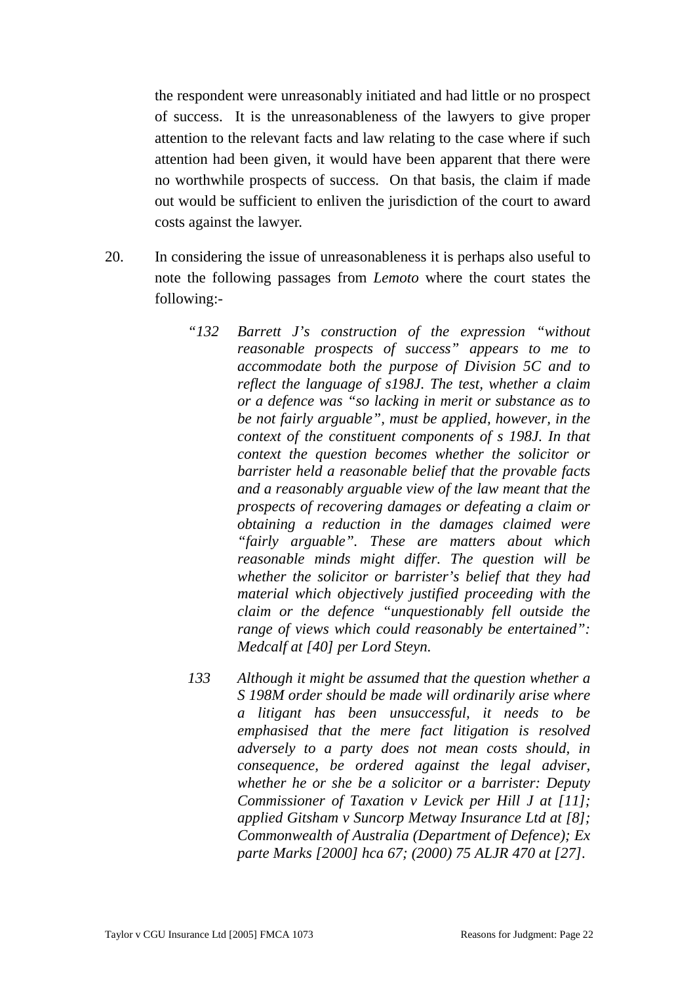the respondent were unreasonably initiated and had little or no prospect of success. It is the unreasonableness of the lawyers to give proper attention to the relevant facts and law relating to the case where if such attention had been given, it would have been apparent that there were no worthwhile prospects of success. On that basis, the claim if made out would be sufficient to enliven the jurisdiction of the court to award costs against the lawyer.

- 20. In considering the issue of unreasonableness it is perhaps also useful to note the following passages from *Lemoto* where the court states the following:-
	- *"132 Barrett J's construction of the expression "without reasonable prospects of success" appears to me to accommodate both the purpose of Division 5C and to reflect the language of s198J. The test, whether a claim or a defence was "so lacking in merit or substance as to be not fairly arguable", must be applied, however, in the context of the constituent components of s 198J. In that context the question becomes whether the solicitor or barrister held a reasonable belief that the provable facts and a reasonably arguable view of the law meant that the prospects of recovering damages or defeating a claim or obtaining a reduction in the damages claimed were "fairly arguable". These are matters about which reasonable minds might differ. The question will be whether the solicitor or barrister's belief that they had material which objectively justified proceeding with the claim or the defence "unquestionably fell outside the range of views which could reasonably be entertained": Medcalf at [40] per Lord Steyn.*
	- *133 Although it might be assumed that the question whether a S 198M order should be made will ordinarily arise where a litigant has been unsuccessful, it needs to be emphasised that the mere fact litigation is resolved adversely to a party does not mean costs should, in consequence, be ordered against the legal adviser, whether he or she be a solicitor or a barrister: Deputy Commissioner of Taxation v Levick per Hill J at [11]; applied Gitsham v Suncorp Metway Insurance Ltd at [8]; Commonwealth of Australia (Department of Defence); Ex parte Marks [2000] hca 67; (2000) 75 ALJR 470 at [27].*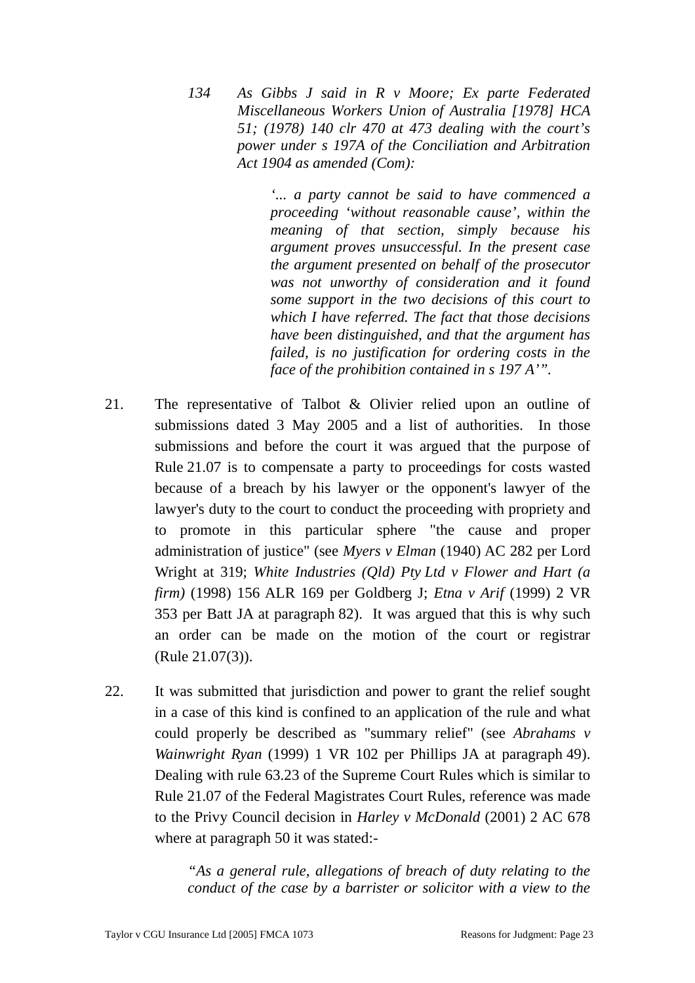*134 As Gibbs J said in R v Moore; Ex parte Federated Miscellaneous Workers Union of Australia [1978] HCA 51; (1978) 140 clr 470 at 473 dealing with the court's power under s 197A of the Conciliation and Arbitration Act 1904 as amended (Com):* 

> *'... a party cannot be said to have commenced a proceeding 'without reasonable cause', within the meaning of that section, simply because his argument proves unsuccessful. In the present case the argument presented on behalf of the prosecutor was not unworthy of consideration and it found some support in the two decisions of this court to which I have referred. The fact that those decisions have been distinguished, and that the argument has failed, is no justification for ordering costs in the face of the prohibition contained in s 197 A'".*

- 21. The representative of Talbot & Olivier relied upon an outline of submissions dated 3 May 2005 and a list of authorities. In those submissions and before the court it was argued that the purpose of Rule 21.07 is to compensate a party to proceedings for costs wasted because of a breach by his lawyer or the opponent's lawyer of the lawyer's duty to the court to conduct the proceeding with propriety and to promote in this particular sphere "the cause and proper administration of justice" (see *Myers v Elman* (1940) AC 282 per Lord Wright at 319; *White Industries (Qld) Pty Ltd v Flower and Hart (a firm)* (1998) 156 ALR 169 per Goldberg J; *Etna v Arif* (1999) 2 VR 353 per Batt JA at paragraph 82). It was argued that this is why such an order can be made on the motion of the court or registrar (Rule 21.07(3)).
- 22. It was submitted that jurisdiction and power to grant the relief sought in a case of this kind is confined to an application of the rule and what could properly be described as "summary relief" (see *Abrahams v Wainwright Ryan* (1999) 1 VR 102 per Phillips JA at paragraph 49). Dealing with rule 63.23 of the Supreme Court Rules which is similar to Rule 21.07 of the Federal Magistrates Court Rules, reference was made to the Privy Council decision in *Harley v McDonald* (2001) 2 AC 678 where at paragraph 50 it was stated:-

*"As a general rule, allegations of breach of duty relating to the conduct of the case by a barrister or solicitor with a view to the*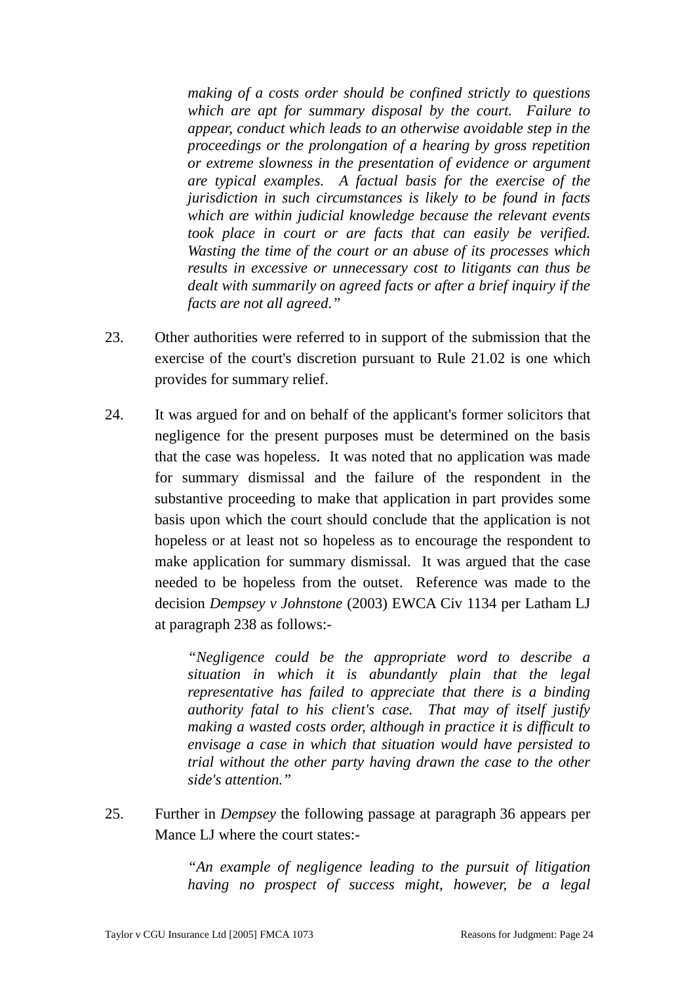*making of a costs order should be confined strictly to questions which are apt for summary disposal by the court. Failure to appear, conduct which leads to an otherwise avoidable step in the proceedings or the prolongation of a hearing by gross repetition or extreme slowness in the presentation of evidence or argument are typical examples. A factual basis for the exercise of the jurisdiction in such circumstances is likely to be found in facts which are within judicial knowledge because the relevant events took place in court or are facts that can easily be verified. Wasting the time of the court or an abuse of its processes which results in excessive or unnecessary cost to litigants can thus be dealt with summarily on agreed facts or after a brief inquiry if the facts are not all agreed."* 

- 23. Other authorities were referred to in support of the submission that the exercise of the court's discretion pursuant to Rule 21.02 is one which provides for summary relief.
- 24. It was argued for and on behalf of the applicant's former solicitors that negligence for the present purposes must be determined on the basis that the case was hopeless. It was noted that no application was made for summary dismissal and the failure of the respondent in the substantive proceeding to make that application in part provides some basis upon which the court should conclude that the application is not hopeless or at least not so hopeless as to encourage the respondent to make application for summary dismissal. It was argued that the case needed to be hopeless from the outset. Reference was made to the decision *Dempsey v Johnstone* (2003) EWCA Civ 1134 per Latham LJ at paragraph 238 as follows:-

*"Negligence could be the appropriate word to describe a situation in which it is abundantly plain that the legal representative has failed to appreciate that there is a binding authority fatal to his client's case. That may of itself justify making a wasted costs order, although in practice it is difficult to envisage a case in which that situation would have persisted to trial without the other party having drawn the case to the other side's attention."* 

25. Further in *Dempsey* the following passage at paragraph 36 appears per Mance LJ where the court states:-

> *"An example of negligence leading to the pursuit of litigation having no prospect of success might, however, be a legal*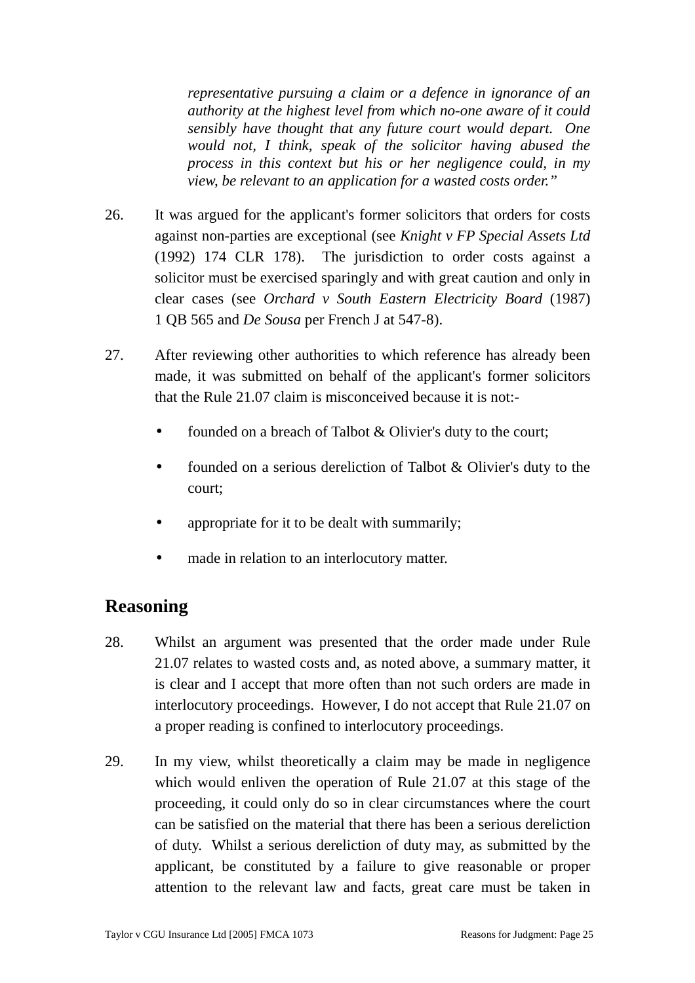*representative pursuing a claim or a defence in ignorance of an authority at the highest level from which no-one aware of it could sensibly have thought that any future court would depart. One would not, I think, speak of the solicitor having abused the process in this context but his or her negligence could, in my view, be relevant to an application for a wasted costs order."* 

- 26. It was argued for the applicant's former solicitors that orders for costs against non-parties are exceptional (see *Knight v FP Special Assets Ltd* (1992) 174 CLR 178). The jurisdiction to order costs against a solicitor must be exercised sparingly and with great caution and only in clear cases (see *Orchard v South Eastern Electricity Board* (1987) 1 QB 565 and *De Sousa* per French J at 547-8).
- 27. After reviewing other authorities to which reference has already been made, it was submitted on behalf of the applicant's former solicitors that the Rule 21.07 claim is misconceived because it is not:
	- founded on a breach of Talbot & Olivier's duty to the court;
	- founded on a serious dereliction of Talbot & Olivier's duty to the court;
	- appropriate for it to be dealt with summarily;
	- made in relation to an interlocutory matter.

## **Reasoning**

- 28. Whilst an argument was presented that the order made under Rule 21.07 relates to wasted costs and, as noted above, a summary matter, it is clear and I accept that more often than not such orders are made in interlocutory proceedings. However, I do not accept that Rule 21.07 on a proper reading is confined to interlocutory proceedings.
- 29. In my view, whilst theoretically a claim may be made in negligence which would enliven the operation of Rule 21.07 at this stage of the proceeding, it could only do so in clear circumstances where the court can be satisfied on the material that there has been a serious dereliction of duty. Whilst a serious dereliction of duty may, as submitted by the applicant, be constituted by a failure to give reasonable or proper attention to the relevant law and facts, great care must be taken in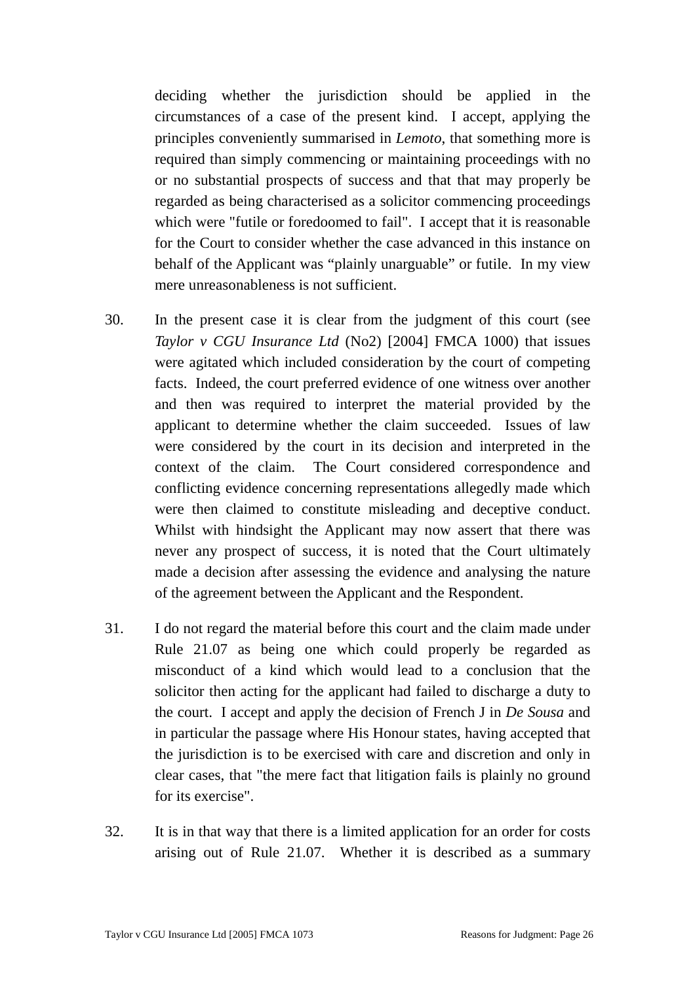deciding whether the jurisdiction should be applied in the circumstances of a case of the present kind. I accept, applying the principles conveniently summarised in *Lemoto*, that something more is required than simply commencing or maintaining proceedings with no or no substantial prospects of success and that that may properly be regarded as being characterised as a solicitor commencing proceedings which were "futile or foredoomed to fail". I accept that it is reasonable for the Court to consider whether the case advanced in this instance on behalf of the Applicant was "plainly unarguable" or futile. In my view mere unreasonableness is not sufficient.

- 30. In the present case it is clear from the judgment of this court (see *Taylor v CGU Insurance Ltd* (No2) [2004] FMCA 1000) that issues were agitated which included consideration by the court of competing facts. Indeed, the court preferred evidence of one witness over another and then was required to interpret the material provided by the applicant to determine whether the claim succeeded. Issues of law were considered by the court in its decision and interpreted in the context of the claim. The Court considered correspondence and conflicting evidence concerning representations allegedly made which were then claimed to constitute misleading and deceptive conduct. Whilst with hindsight the Applicant may now assert that there was never any prospect of success, it is noted that the Court ultimately made a decision after assessing the evidence and analysing the nature of the agreement between the Applicant and the Respondent.
- 31. I do not regard the material before this court and the claim made under Rule 21.07 as being one which could properly be regarded as misconduct of a kind which would lead to a conclusion that the solicitor then acting for the applicant had failed to discharge a duty to the court. I accept and apply the decision of French J in *De Sousa* and in particular the passage where His Honour states, having accepted that the jurisdiction is to be exercised with care and discretion and only in clear cases, that "the mere fact that litigation fails is plainly no ground for its exercise".
- 32. It is in that way that there is a limited application for an order for costs arising out of Rule 21.07. Whether it is described as a summary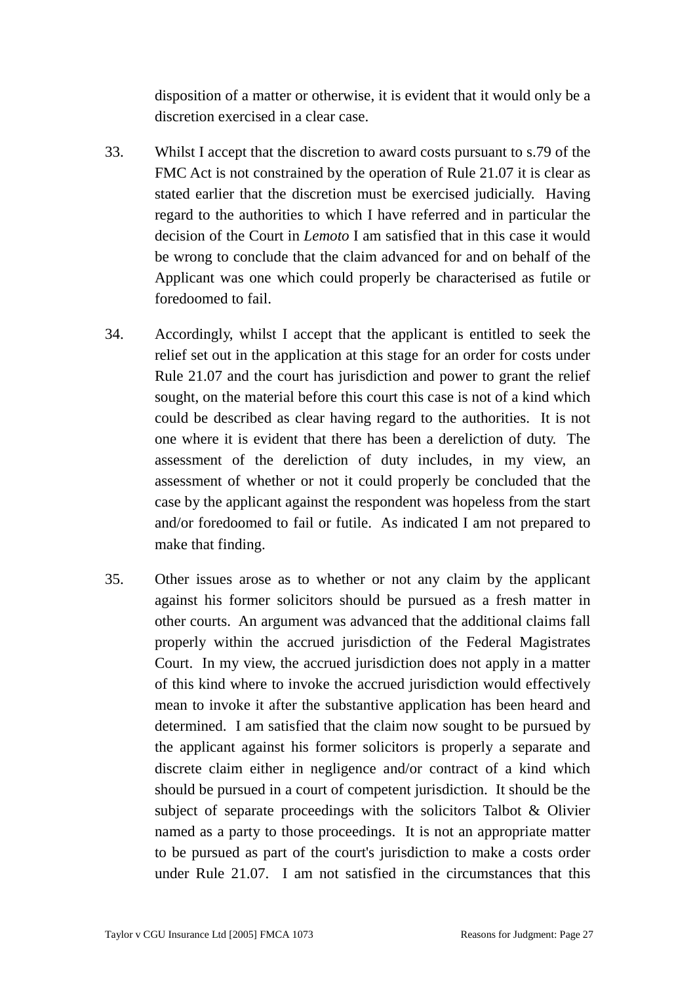disposition of a matter or otherwise, it is evident that it would only be a discretion exercised in a clear case.

- 33. Whilst I accept that the discretion to award costs pursuant to s.79 of the FMC Act is not constrained by the operation of Rule 21.07 it is clear as stated earlier that the discretion must be exercised judicially. Having regard to the authorities to which I have referred and in particular the decision of the Court in *Lemoto* I am satisfied that in this case it would be wrong to conclude that the claim advanced for and on behalf of the Applicant was one which could properly be characterised as futile or foredoomed to fail.
- 34. Accordingly, whilst I accept that the applicant is entitled to seek the relief set out in the application at this stage for an order for costs under Rule 21.07 and the court has jurisdiction and power to grant the relief sought, on the material before this court this case is not of a kind which could be described as clear having regard to the authorities. It is not one where it is evident that there has been a dereliction of duty. The assessment of the dereliction of duty includes, in my view, an assessment of whether or not it could properly be concluded that the case by the applicant against the respondent was hopeless from the start and/or foredoomed to fail or futile. As indicated I am not prepared to make that finding.
- 35. Other issues arose as to whether or not any claim by the applicant against his former solicitors should be pursued as a fresh matter in other courts. An argument was advanced that the additional claims fall properly within the accrued jurisdiction of the Federal Magistrates Court. In my view, the accrued jurisdiction does not apply in a matter of this kind where to invoke the accrued jurisdiction would effectively mean to invoke it after the substantive application has been heard and determined. I am satisfied that the claim now sought to be pursued by the applicant against his former solicitors is properly a separate and discrete claim either in negligence and/or contract of a kind which should be pursued in a court of competent jurisdiction. It should be the subject of separate proceedings with the solicitors Talbot & Olivier named as a party to those proceedings. It is not an appropriate matter to be pursued as part of the court's jurisdiction to make a costs order under Rule 21.07. I am not satisfied in the circumstances that this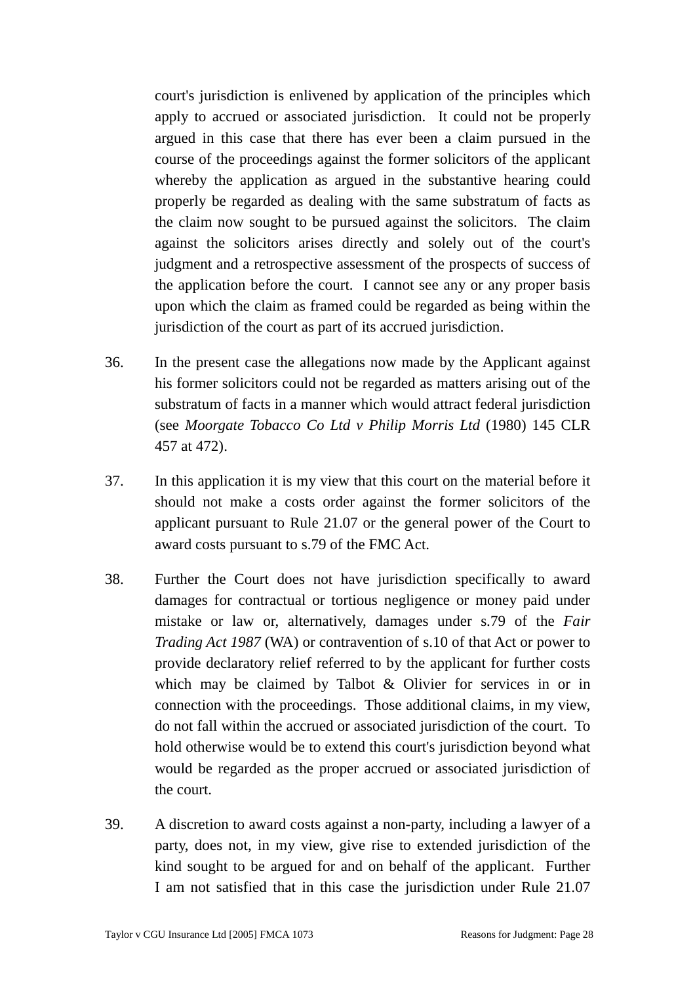court's jurisdiction is enlivened by application of the principles which apply to accrued or associated jurisdiction. It could not be properly argued in this case that there has ever been a claim pursued in the course of the proceedings against the former solicitors of the applicant whereby the application as argued in the substantive hearing could properly be regarded as dealing with the same substratum of facts as the claim now sought to be pursued against the solicitors. The claim against the solicitors arises directly and solely out of the court's judgment and a retrospective assessment of the prospects of success of the application before the court. I cannot see any or any proper basis upon which the claim as framed could be regarded as being within the jurisdiction of the court as part of its accrued jurisdiction.

- 36. In the present case the allegations now made by the Applicant against his former solicitors could not be regarded as matters arising out of the substratum of facts in a manner which would attract federal jurisdiction (see *Moorgate Tobacco Co Ltd v Philip Morris Ltd* (1980) 145 CLR 457 at 472).
- 37. In this application it is my view that this court on the material before it should not make a costs order against the former solicitors of the applicant pursuant to Rule 21.07 or the general power of the Court to award costs pursuant to s.79 of the FMC Act.
- 38. Further the Court does not have jurisdiction specifically to award damages for contractual or tortious negligence or money paid under mistake or law or, alternatively, damages under s.79 of the *Fair Trading Act 1987* (WA) or contravention of s.10 of that Act or power to provide declaratory relief referred to by the applicant for further costs which may be claimed by Talbot & Olivier for services in or in connection with the proceedings. Those additional claims, in my view, do not fall within the accrued or associated jurisdiction of the court. To hold otherwise would be to extend this court's jurisdiction beyond what would be regarded as the proper accrued or associated jurisdiction of the court.
- 39. A discretion to award costs against a non-party, including a lawyer of a party, does not, in my view, give rise to extended jurisdiction of the kind sought to be argued for and on behalf of the applicant. Further I am not satisfied that in this case the jurisdiction under Rule 21.07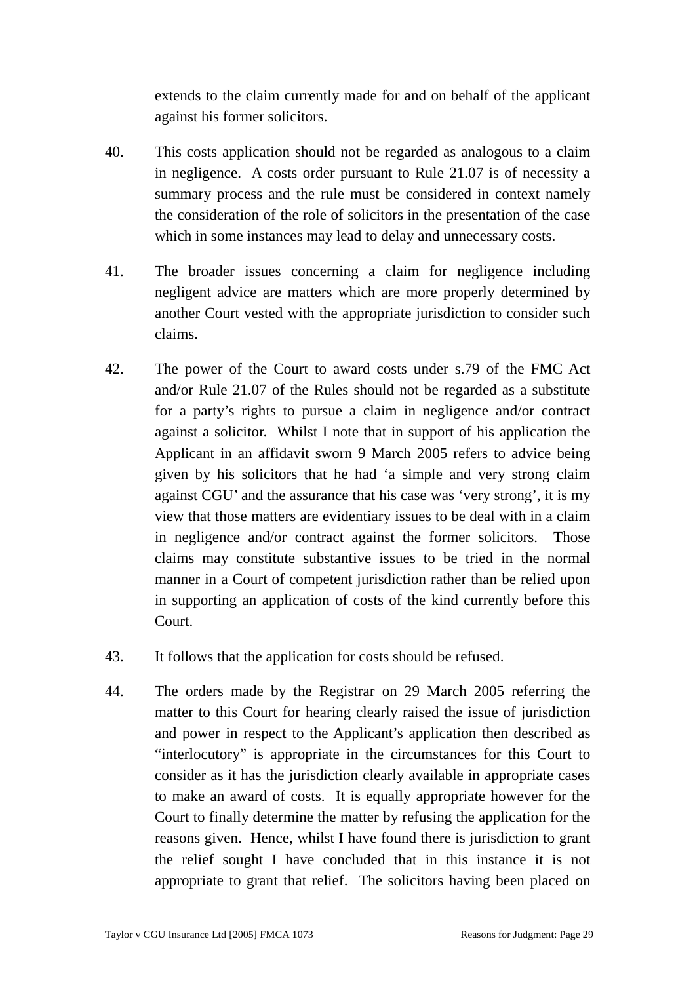extends to the claim currently made for and on behalf of the applicant against his former solicitors.

- 40. This costs application should not be regarded as analogous to a claim in negligence. A costs order pursuant to Rule 21.07 is of necessity a summary process and the rule must be considered in context namely the consideration of the role of solicitors in the presentation of the case which in some instances may lead to delay and unnecessary costs.
- 41. The broader issues concerning a claim for negligence including negligent advice are matters which are more properly determined by another Court vested with the appropriate jurisdiction to consider such claims.
- 42. The power of the Court to award costs under s.79 of the FMC Act and/or Rule 21.07 of the Rules should not be regarded as a substitute for a party's rights to pursue a claim in negligence and/or contract against a solicitor. Whilst I note that in support of his application the Applicant in an affidavit sworn 9 March 2005 refers to advice being given by his solicitors that he had 'a simple and very strong claim against CGU' and the assurance that his case was 'very strong', it is my view that those matters are evidentiary issues to be deal with in a claim in negligence and/or contract against the former solicitors. Those claims may constitute substantive issues to be tried in the normal manner in a Court of competent jurisdiction rather than be relied upon in supporting an application of costs of the kind currently before this Court.
- 43. It follows that the application for costs should be refused.
- 44. The orders made by the Registrar on 29 March 2005 referring the matter to this Court for hearing clearly raised the issue of jurisdiction and power in respect to the Applicant's application then described as "interlocutory" is appropriate in the circumstances for this Court to consider as it has the jurisdiction clearly available in appropriate cases to make an award of costs. It is equally appropriate however for the Court to finally determine the matter by refusing the application for the reasons given. Hence, whilst I have found there is jurisdiction to grant the relief sought I have concluded that in this instance it is not appropriate to grant that relief. The solicitors having been placed on